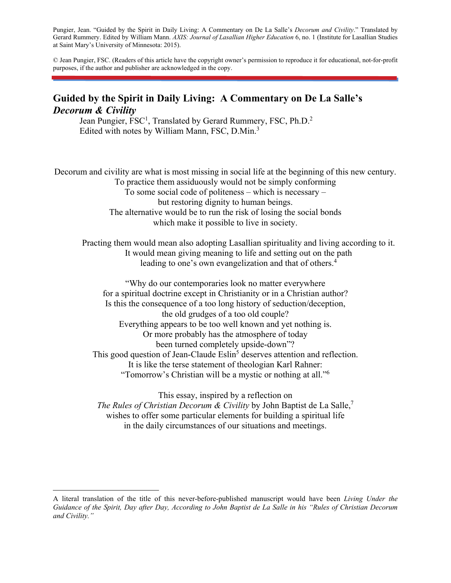Pungier, Jean. "Guided by the Spirit in Daily Living: A Commentary on De La Salle's *Decorum and Civility*." Translated by Gerard Rummery. Edited by William Mann. *AXIS: Journal of Lasallian Higher Education* 6, no. 1 (Institute for Lasallian Studies at Saint Mary's University of Minnesota: 2015).

© Jean Pungier, FSC. (Readers of this article have the copyright owner's permission to reproduce it for educational, not-for-profit purposes, if the author and publisher are acknowledged in the copy.

# **Guided by the Spirit in Daily Living: A Commentary on De La Salle's**  *Decorum & Civility*

Jean Pungier, FSC<sup>1</sup>, Translated by Gerard Rummery, FSC, Ph.D.<sup>2</sup> Edited with notes by William Mann, FSC, D.Min.<sup>3</sup>

Decorum and civility are what is most missing in social life at the beginning of this new century. To practice them assiduously would not be simply conforming To some social code of politeness – which is necessary – but restoring dignity to human beings. The alternative would be to run the risk of losing the social bonds which make it possible to live in society.

Practing them would mean also adopting Lasallian spirituality and living according to it. It would mean giving meaning to life and setting out on the path leading to one's own evangelization and that of others.<sup>4</sup>

"Why do our contemporaries look no matter everywhere for a spiritual doctrine except in Christianity or in a Christian author? Is this the consequence of a too long history of seduction/deception, the old grudges of a too old couple? Everything appears to be too well known and yet nothing is. Or more probably has the atmosphere of today been turned completely upside-down"? This good question of Jean-Claude Eslin<sup>5</sup> deserves attention and reflection. It is like the terse statement of theologian Karl Rahner: "Tomorrow's Christian will be a mystic or nothing at all."6

This essay, inspired by a reflection on *The Rules of Christian Decorum & Civility* by John Baptist de La Salle,7 wishes to offer some particular elements for building a spiritual life in the daily circumstances of our situations and meetings.

 $\overline{a}$ 

A literal translation of the title of this never-before-published manuscript would have been *Living Under the Guidance of the Spirit, Day after Day, According to John Baptist de La Salle in his "Rules of Christian Decorum and Civility."*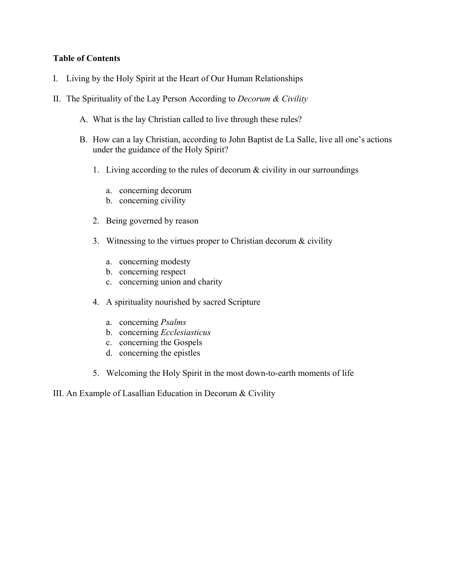# **Table of Contents**

- I. Living by the Holy Spirit at the Heart of Our Human Relationships
- II. The Spirituality of the Lay Person According to *Decorum & Civility*
	- A. What is the lay Christian called to live through these rules?
	- B. How can a lay Christian, according to John Baptist de La Salle, live all one's actions under the guidance of the Holy Spirit?
		- 1. Living according to the rules of decorum & civility in our surroundings
			- a. concerning decorum
			- b. concerning civility
		- 2. Being governed by reason
		- 3. Witnessing to the virtues proper to Christian decorum & civility
			- a. concerning modesty
			- b. concerning respect
			- c. concerning union and charity
		- 4. A spirituality nourished by sacred Scripture
			- a. concerning *Psalms*
			- b. concerning *Ecclesiasticus*
			- c. concerning the Gospels
			- d. concerning the epistles
		- 5. Welcoming the Holy Spirit in the most down-to-earth moments of life
- III. An Example of Lasallian Education in Decorum & Civility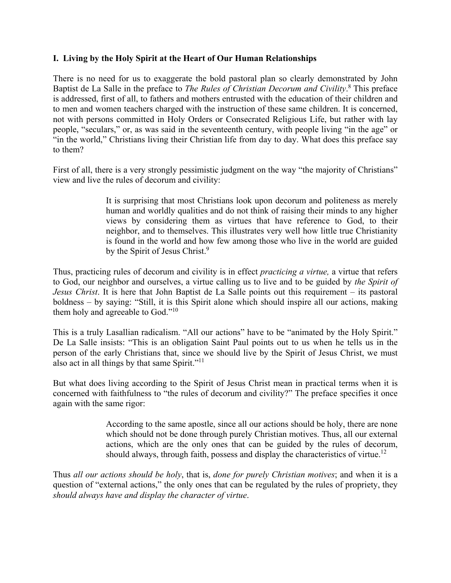# **I. Living by the Holy Spirit at the Heart of Our Human Relationships**

There is no need for us to exaggerate the bold pastoral plan so clearly demonstrated by John Baptist de La Salle in the preface to *The Rules of Christian Decorum and Civility*. 8 This preface is addressed, first of all, to fathers and mothers entrusted with the education of their children and to men and women teachers charged with the instruction of these same children. It is concerned, not with persons committed in Holy Orders or Consecrated Religious Life, but rather with lay people, "seculars," or, as was said in the seventeenth century, with people living "in the age" or "in the world," Christians living their Christian life from day to day. What does this preface say to them?

First of all, there is a very strongly pessimistic judgment on the way "the majority of Christians" view and live the rules of decorum and civility:

> It is surprising that most Christians look upon decorum and politeness as merely human and worldly qualities and do not think of raising their minds to any higher views by considering them as virtues that have reference to God, to their neighbor, and to themselves. This illustrates very well how little true Christianity is found in the world and how few among those who live in the world are guided by the Spirit of Jesus Christ.<sup>9</sup>

Thus, practicing rules of decorum and civility is in effect *practicing a virtue,* a virtue that refers to God, our neighbor and ourselves, a virtue calling us to live and to be guided by *the Spirit of Jesus Christ*. It is here that John Baptist de La Salle points out this requirement – its pastoral boldness – by saying: "Still, it is this Spirit alone which should inspire all our actions, making them holy and agreeable to God."10

This is a truly Lasallian radicalism. "All our actions" have to be "animated by the Holy Spirit." De La Salle insists: "This is an obligation Saint Paul points out to us when he tells us in the person of the early Christians that, since we should live by the Spirit of Jesus Christ, we must also act in all things by that same Spirit."11

But what does living according to the Spirit of Jesus Christ mean in practical terms when it is concerned with faithfulness to "the rules of decorum and civility?" The preface specifies it once again with the same rigor:

> According to the same apostle, since all our actions should be holy, there are none which should not be done through purely Christian motives. Thus, all our external actions, which are the only ones that can be guided by the rules of decorum, should always, through faith, possess and display the characteristics of virtue.<sup>12</sup>

Thus *all our actions should be holy*, that is, *done for purely Christian motives*; and when it is a question of "external actions," the only ones that can be regulated by the rules of propriety, they *should always have and display the character of virtue*.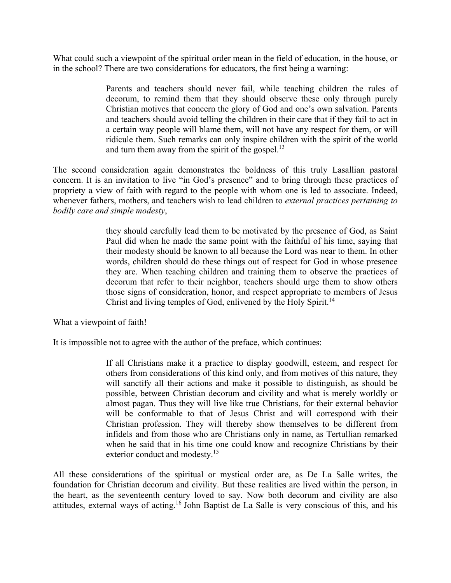What could such a viewpoint of the spiritual order mean in the field of education, in the house, or in the school? There are two considerations for educators, the first being a warning:

> Parents and teachers should never fail, while teaching children the rules of decorum, to remind them that they should observe these only through purely Christian motives that concern the glory of God and one's own salvation. Parents and teachers should avoid telling the children in their care that if they fail to act in a certain way people will blame them, will not have any respect for them, or will ridicule them. Such remarks can only inspire children with the spirit of the world and turn them away from the spirit of the gospel. $^{13}$

The second consideration again demonstrates the boldness of this truly Lasallian pastoral concern. It is an invitation to live "in God's presence" and to bring through these practices of propriety a view of faith with regard to the people with whom one is led to associate. Indeed, whenever fathers, mothers, and teachers wish to lead children to *external practices pertaining to bodily care and simple modesty*,

> they should carefully lead them to be motivated by the presence of God, as Saint Paul did when he made the same point with the faithful of his time, saying that their modesty should be known to all because the Lord was near to them. In other words, children should do these things out of respect for God in whose presence they are. When teaching children and training them to observe the practices of decorum that refer to their neighbor, teachers should urge them to show others those signs of consideration, honor, and respect appropriate to members of Jesus Christ and living temples of God, enlivened by the Holy Spirit.<sup>14</sup>

What a viewpoint of faith!

It is impossible not to agree with the author of the preface, which continues:

If all Christians make it a practice to display goodwill, esteem, and respect for others from considerations of this kind only, and from motives of this nature, they will sanctify all their actions and make it possible to distinguish, as should be possible, between Christian decorum and civility and what is merely worldly or almost pagan. Thus they will live like true Christians, for their external behavior will be conformable to that of Jesus Christ and will correspond with their Christian profession. They will thereby show themselves to be different from infidels and from those who are Christians only in name, as Tertullian remarked when he said that in his time one could know and recognize Christians by their exterior conduct and modesty.<sup>15</sup>

All these considerations of the spiritual or mystical order are, as De La Salle writes, the foundation for Christian decorum and civility. But these realities are lived within the person, in the heart, as the seventeenth century loved to say. Now both decorum and civility are also attitudes, external ways of acting.16 John Baptist de La Salle is very conscious of this, and his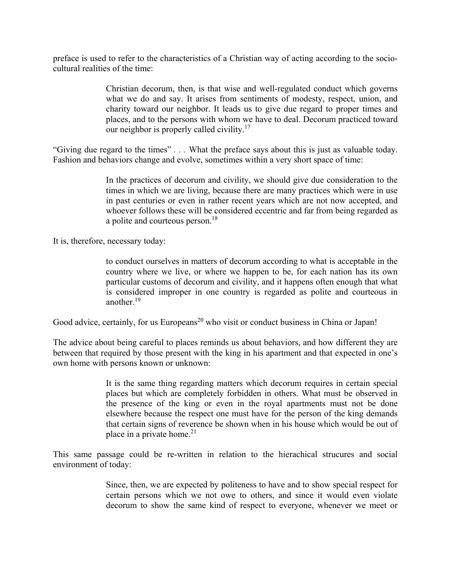preface is used to refer to the characteristics of a Christian way of acting according to the sociocultural realities of the time:

> Christian decorum, then, is that wise and well-regulated conduct which governs what we do and say. It arises from sentiments of modesty, respect, union, and charity toward our neighbor. It leads us to give due regard to proper times and places, and to the persons with whom we have to deal. Decorum practiced toward our neighbor is properly called civility.<sup>17</sup>

"Giving due regard to the times" *. . .* What the preface says about this is just as valuable today. Fashion and behaviors change and evolve, sometimes within a very short space of time:

> In the practices of decorum and civility, we should give due consideration to the times in which we are living, because there are many practices which were in use in past centuries or even in rather recent years which are not now accepted, and whoever follows these will be considered eccentric and far from being regarded as a polite and courteous person.<sup>18</sup>

It is, therefore, necessary today:

to conduct ourselves in matters of decorum according to what is acceptable in the country where we live, or where we happen to be, for each nation has its own particular customs of decorum and civility, and it happens often enough that what is considered improper in one country is regarded as polite and courteous in another $19$ 

Good advice, certainly, for us Europeans<sup>20</sup> who visit or conduct business in China or Japan!

The advice about being careful to places reminds us about behaviors, and how different they are between that required by those present with the king in his apartment and that expected in one's own home with persons known or unknown:

> It is the same thing regarding matters which decorum requires in certain special places but which are completely forbidden in others. What must be observed in the presence of the king or even in the royal apartments must not be done elsewhere because the respect one must have for the person of the king demands that certain signs of reverence be shown when in his house which would be out of place in a private home. $2<sup>1</sup>$

This same passage could be re-written in relation to the hierachical strucures and social environment of today:

> Since, then, we are expected by politeness to have and to show special respect for certain persons which we not owe to others, and since it would even violate decorum to show the same kind of respect to everyone, whenever we meet or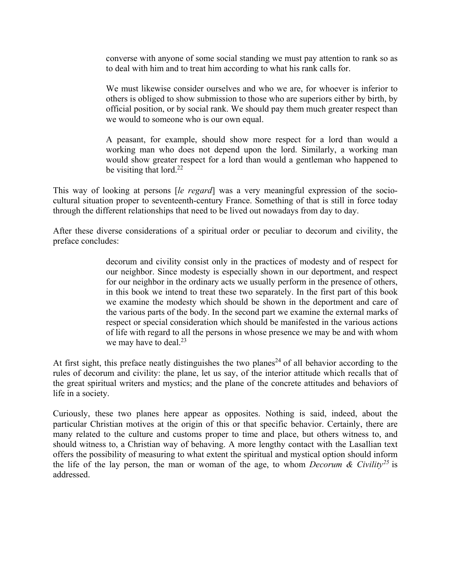converse with anyone of some social standing we must pay attention to rank so as to deal with him and to treat him according to what his rank calls for.

We must likewise consider ourselves and who we are, for whoever is inferior to others is obliged to show submission to those who are superiors either by birth, by official position, or by social rank. We should pay them much greater respect than we would to someone who is our own equal.

A peasant, for example, should show more respect for a lord than would a working man who does not depend upon the lord. Similarly, a working man would show greater respect for a lord than would a gentleman who happened to be visiting that lord. $^{22}$ 

This way of looking at persons [*le regard*] was a very meaningful expression of the sociocultural situation proper to seventeenth-century France. Something of that is still in force today through the different relationships that need to be lived out nowadays from day to day.

After these diverse considerations of a spiritual order or peculiar to decorum and civility, the preface concludes:

> decorum and civility consist only in the practices of modesty and of respect for our neighbor. Since modesty is especially shown in our deportment, and respect for our neighbor in the ordinary acts we usually perform in the presence of others, in this book we intend to treat these two separately. In the first part of this book we examine the modesty which should be shown in the deportment and care of the various parts of the body. In the second part we examine the external marks of respect or special consideration which should be manifested in the various actions of life with regard to all the persons in whose presence we may be and with whom we may have to deal. $2<sup>3</sup>$

At first sight, this preface neatly distinguishes the two planes<sup>24</sup> of all behavior according to the rules of decorum and civility: the plane, let us say, of the interior attitude which recalls that of the great spiritual writers and mystics; and the plane of the concrete attitudes and behaviors of life in a society.

Curiously, these two planes here appear as opposites. Nothing is said, indeed, about the particular Christian motives at the origin of this or that specific behavior. Certainly, there are many related to the culture and customs proper to time and place, but others witness to, and should witness to, a Christian way of behaving. A more lengthy contact with the Lasallian text offers the possibility of measuring to what extent the spiritual and mystical option should inform the life of the lay person, the man or woman of the age, to whom *Decorum & Civility*<sup>25</sup> is addressed.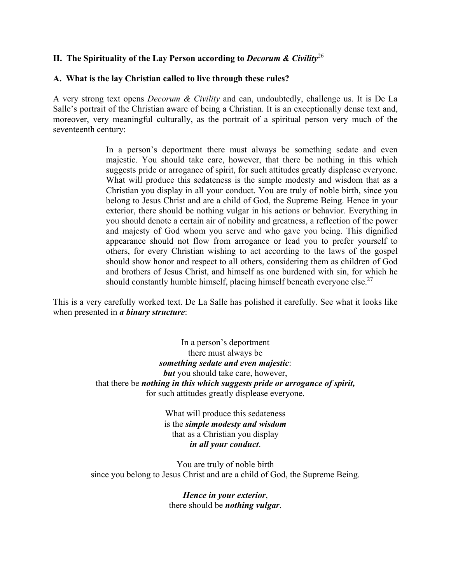# **II. The Spirituality of the Lay Person according to** *Decorum & Civility*<sup>26</sup>

# **A. What is the lay Christian called to live through these rules?**

A very strong text opens *Decorum & Civility* and can, undoubtedly, challenge us. It is De La Salle's portrait of the Christian aware of being a Christian. It is an exceptionally dense text and, moreover, very meaningful culturally, as the portrait of a spiritual person very much of the seventeenth century:

> In a person's deportment there must always be something sedate and even majestic. You should take care, however, that there be nothing in this which suggests pride or arrogance of spirit, for such attitudes greatly displease everyone. What will produce this sedateness is the simple modesty and wisdom that as a Christian you display in all your conduct. You are truly of noble birth, since you belong to Jesus Christ and are a child of God, the Supreme Being. Hence in your exterior, there should be nothing vulgar in his actions or behavior. Everything in you should denote a certain air of nobility and greatness, a reflection of the power and majesty of God whom you serve and who gave you being. This dignified appearance should not flow from arrogance or lead you to prefer yourself to others, for every Christian wishing to act according to the laws of the gospel should show honor and respect to all others, considering them as children of God and brothers of Jesus Christ, and himself as one burdened with sin, for which he should constantly humble himself, placing himself beneath everyone else.<sup>27</sup>

This is a very carefully worked text. De La Salle has polished it carefully. See what it looks like when presented in *a binary structure*:

> In a person's deportment there must always be *something sedate and even majestic*: *but* you should take care, however, that there be *nothing in this which suggests pride or arrogance of spirit,* for such attitudes greatly displease everyone.

> > What will produce this sedateness is the *simple modesty and wisdom* that as a Christian you display *in all your conduct*.

You are truly of noble birth since you belong to Jesus Christ and are a child of God, the Supreme Being.

> *Hence in your exterior*, there should be *nothing vulgar*.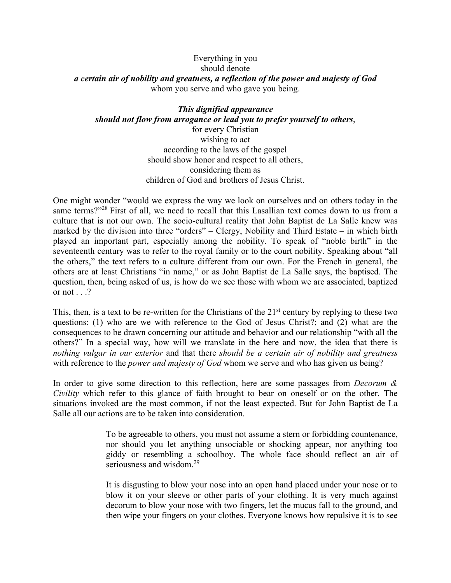### Everything in you should denote *a certain air of nobility and greatness, a reflection of the power and majesty of God* whom you serve and who gave you being.

# *This dignified appearance should not flow from arrogance or lead you to prefer yourself to others*,

for every Christian wishing to act according to the laws of the gospel should show honor and respect to all others, considering them as children of God and brothers of Jesus Christ.

One might wonder "would we express the way we look on ourselves and on others today in the same terms?"<sup>28</sup> First of all, we need to recall that this Lasallian text comes down to us from a culture that is not our own. The socio-cultural reality that John Baptist de La Salle knew was marked by the division into three "orders" – Clergy, Nobility and Third Estate – in which birth played an important part, especially among the nobility. To speak of "noble birth" in the seventeenth century was to refer to the royal family or to the court nobility. Speaking about "all the others," the text refers to a culture different from our own. For the French in general, the others are at least Christians "in name," or as John Baptist de La Salle says, the baptised. The question, then, being asked of us, is how do we see those with whom we are associated, baptized or not  $\ldots$ ?

This, then, is a text to be re-written for the Christians of the  $21<sup>st</sup>$  century by replying to these two questions: (1) who are we with reference to the God of Jesus Christ?; and (2) what are the consequences to be drawn concerning our attitude and behavior and our relationship "with all the others?" In a special way, how will we translate in the here and now, the idea that there is *nothing vulgar in our exterior* and that there *should be a certain air of nobility and greatness* with reference to the *power and majesty of God* whom we serve and who has given us being?

In order to give some direction to this reflection, here are some passages from *Decorum & Civility* which refer to this glance of faith brought to bear on oneself or on the other. The situations invoked are the most common, if not the least expected. But for John Baptist de La Salle all our actions are to be taken into consideration.

> To be agreeable to others, you must not assume a stern or forbidding countenance, nor should you let anything unsociable or shocking appear, nor anything too giddy or resembling a schoolboy. The whole face should reflect an air of seriousness and wisdom.<sup>29</sup>

> It is disgusting to blow your nose into an open hand placed under your nose or to blow it on your sleeve or other parts of your clothing. It is very much against decorum to blow your nose with two fingers, let the mucus fall to the ground, and then wipe your fingers on your clothes. Everyone knows how repulsive it is to see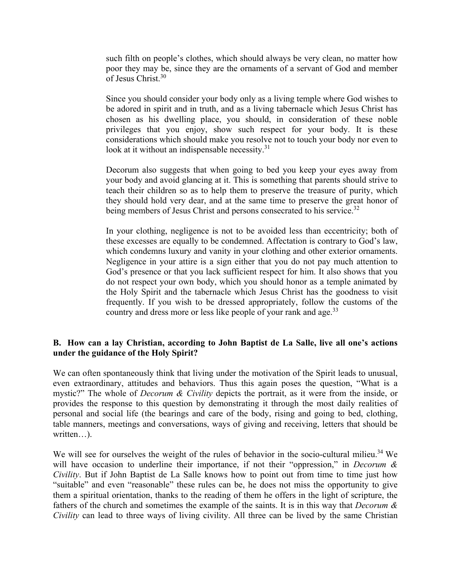such filth on people's clothes, which should always be very clean, no matter how poor they may be, since they are the ornaments of a servant of God and member of Jesus Christ.30

Since you should consider your body only as a living temple where God wishes to be adored in spirit and in truth, and as a living tabernacle which Jesus Christ has chosen as his dwelling place, you should, in consideration of these noble privileges that you enjoy, show such respect for your body. It is these considerations which should make you resolve not to touch your body nor even to look at it without an indispensable necessity.<sup>31</sup>

Decorum also suggests that when going to bed you keep your eyes away from your body and avoid glancing at it. This is something that parents should strive to teach their children so as to help them to preserve the treasure of purity, which they should hold very dear, and at the same time to preserve the great honor of being members of Jesus Christ and persons consecrated to his service.<sup>32</sup>

In your clothing, negligence is not to be avoided less than eccentricity; both of these excesses are equally to be condemned. Affectation is contrary to God's law, which condemns luxury and vanity in your clothing and other exterior ornaments. Negligence in your attire is a sign either that you do not pay much attention to God's presence or that you lack sufficient respect for him. It also shows that you do not respect your own body, which you should honor as a temple animated by the Holy Spirit and the tabernacle which Jesus Christ has the goodness to visit frequently. If you wish to be dressed appropriately, follow the customs of the country and dress more or less like people of your rank and age.<sup>33</sup>

# **B. How can a lay Christian, according to John Baptist de La Salle, live all one's actions under the guidance of the Holy Spirit?**

We can often spontaneously think that living under the motivation of the Spirit leads to unusual, even extraordinary, attitudes and behaviors. Thus this again poses the question, "What is a mystic?" The whole of *Decorum & Civility* depicts the portrait, as it were from the inside, or provides the response to this question by demonstrating it through the most daily realities of personal and social life (the bearings and care of the body, rising and going to bed, clothing, table manners, meetings and conversations, ways of giving and receiving, letters that should be written…).

We will see for ourselves the weight of the rules of behavior in the socio-cultural milieu.<sup>34</sup> We will have occasion to underline their importance, if not their "oppression," in *Decorum & Civility*. But if John Baptist de La Salle knows how to point out from time to time just how "suitable" and even "reasonable" these rules can be, he does not miss the opportunity to give them a spiritual orientation, thanks to the reading of them he offers in the light of scripture, the fathers of the church and sometimes the example of the saints. It is in this way that *Decorum & Civility* can lead to three ways of living civility. All three can be lived by the same Christian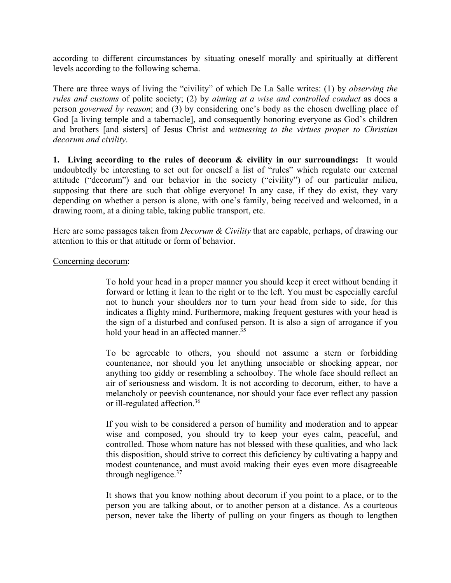according to different circumstances by situating oneself morally and spiritually at different levels according to the following schema.

There are three ways of living the "civility" of which De La Salle writes: (1) by *observing the rules and customs* of polite society; (2) by *aiming at a wise and controlled conduct* as does a person *governed by reason*; and (3) by considering one's body as the chosen dwelling place of God [a living temple and a tabernacle], and consequently honoring everyone as God's children and brothers [and sisters] of Jesus Christ and *witnessing to the virtues proper to Christian decorum and civility*.

**1. Living according to the rules of decorum & civility in our surroundings:** It would undoubtedly be interesting to set out for oneself a list of "rules" which regulate our external attitude ("decorum") and our behavior in the society ("civility") of our particular milieu, supposing that there are such that oblige everyone! In any case, if they do exist, they vary depending on whether a person is alone, with one's family, being received and welcomed, in a drawing room, at a dining table, taking public transport, etc.

Here are some passages taken from *Decorum & Civility* that are capable, perhaps, of drawing our attention to this or that attitude or form of behavior.

#### Concerning decorum:

To hold your head in a proper manner you should keep it erect without bending it forward or letting it lean to the right or to the left. You must be especially careful not to hunch your shoulders nor to turn your head from side to side, for this indicates a flighty mind. Furthermore, making frequent gestures with your head is the sign of a disturbed and confused person. It is also a sign of arrogance if you hold your head in an affected manner.<sup>35</sup>

To be agreeable to others, you should not assume a stern or forbidding countenance, nor should you let anything unsociable or shocking appear, nor anything too giddy or resembling a schoolboy. The whole face should reflect an air of seriousness and wisdom. It is not according to decorum, either, to have a melancholy or peevish countenance, nor should your face ever reflect any passion or ill-regulated affection.36

If you wish to be considered a person of humility and moderation and to appear wise and composed, you should try to keep your eyes calm, peaceful, and controlled. Those whom nature has not blessed with these qualities, and who lack this disposition, should strive to correct this deficiency by cultivating a happy and modest countenance, and must avoid making their eyes even more disagreeable through negligence. $37$ 

It shows that you know nothing about decorum if you point to a place, or to the person you are talking about, or to another person at a distance. As a courteous person, never take the liberty of pulling on your fingers as though to lengthen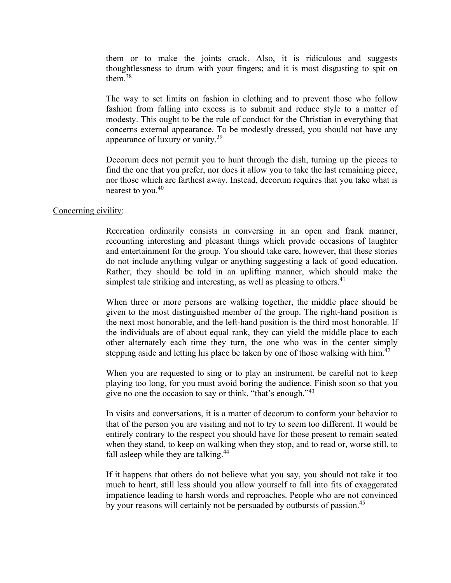them or to make the joints crack. Also, it is ridiculous and suggests thoughtlessness to drum with your fingers; and it is most disgusting to spit on them.<sup>38</sup>

The way to set limits on fashion in clothing and to prevent those who follow fashion from falling into excess is to submit and reduce style to a matter of modesty. This ought to be the rule of conduct for the Christian in everything that concerns external appearance. To be modestly dressed, you should not have any appearance of luxury or vanity.<sup>39</sup>

Decorum does not permit you to hunt through the dish, turning up the pieces to find the one that you prefer, nor does it allow you to take the last remaining piece, nor those which are farthest away. Instead, decorum requires that you take what is nearest to you.<sup>40</sup>

#### Concerning civility:

Recreation ordinarily consists in conversing in an open and frank manner, recounting interesting and pleasant things which provide occasions of laughter and entertainment for the group. You should take care, however, that these stories do not include anything vulgar or anything suggesting a lack of good education. Rather, they should be told in an uplifting manner, which should make the simplest tale striking and interesting, as well as pleasing to others.<sup>41</sup>

When three or more persons are walking together, the middle place should be given to the most distinguished member of the group. The right-hand position is the next most honorable, and the left-hand position is the third most honorable. If the individuals are of about equal rank, they can yield the middle place to each other alternately each time they turn, the one who was in the center simply stepping aside and letting his place be taken by one of those walking with him.<sup>42</sup>

When you are requested to sing or to play an instrument, be careful not to keep playing too long, for you must avoid boring the audience. Finish soon so that you give no one the occasion to say or think, "that's enough."<sup>43</sup>

In visits and conversations, it is a matter of decorum to conform your behavior to that of the person you are visiting and not to try to seem too different. It would be entirely contrary to the respect you should have for those present to remain seated when they stand, to keep on walking when they stop, and to read or, worse still, to fall asleep while they are talking.<sup>44</sup>

If it happens that others do not believe what you say, you should not take it too much to heart, still less should you allow yourself to fall into fits of exaggerated impatience leading to harsh words and reproaches. People who are not convinced by your reasons will certainly not be persuaded by outbursts of passion.<sup>45</sup>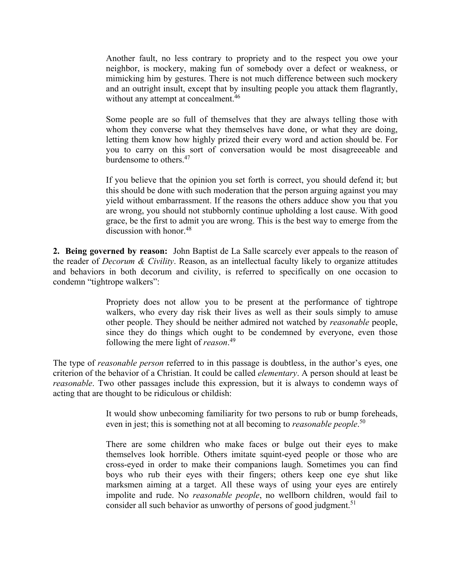Another fault, no less contrary to propriety and to the respect you owe your neighbor, is mockery, making fun of somebody over a defect or weakness, or mimicking him by gestures. There is not much difference between such mockery and an outright insult, except that by insulting people you attack them flagrantly, without any attempt at concealment.<sup>46</sup>

Some people are so full of themselves that they are always telling those with whom they converse what they themselves have done, or what they are doing, letting them know how highly prized their every word and action should be. For you to carry on this sort of conversation would be most disagreeeable and burdensome to others.47

If you believe that the opinion you set forth is correct, you should defend it; but this should be done with such moderation that the person arguing against you may yield without embarrassment. If the reasons the others adduce show you that you are wrong, you should not stubbornly continue upholding a lost cause. With good grace, be the first to admit you are wrong. This is the best way to emerge from the discussion with honor.<sup>48</sup>

**2. Being governed by reason:** John Baptist de La Salle scarcely ever appeals to the reason of the reader of *Decorum & Civility*. Reason, as an intellectual faculty likely to organize attitudes and behaviors in both decorum and civility, is referred to specifically on one occasion to condemn "tightrope walkers":

> Propriety does not allow you to be present at the performance of tightrope walkers, who every day risk their lives as well as their souls simply to amuse other people. They should be neither admired not watched by *reasonable* people, since they do things which ought to be condemned by everyone, even those following the mere light of *reason*. 49

The type of *reasonable person* referred to in this passage is doubtless, in the author's eyes, one criterion of the behavior of a Christian. It could be called *elementary*. A person should at least be *reasonable*. Two other passages include this expression, but it is always to condemn ways of acting that are thought to be ridiculous or childish:

> It would show unbecoming familiarity for two persons to rub or bump foreheads, even in jest; this is something not at all becoming to *reasonable people*. 50

> There are some children who make faces or bulge out their eyes to make themselves look horrible. Others imitate squint-eyed people or those who are cross-eyed in order to make their companions laugh. Sometimes you can find boys who rub their eyes with their fingers; others keep one eye shut like marksmen aiming at a target. All these ways of using your eyes are entirely impolite and rude. No *reasonable people*, no wellborn children, would fail to consider all such behavior as unworthy of persons of good judgment.<sup>51</sup>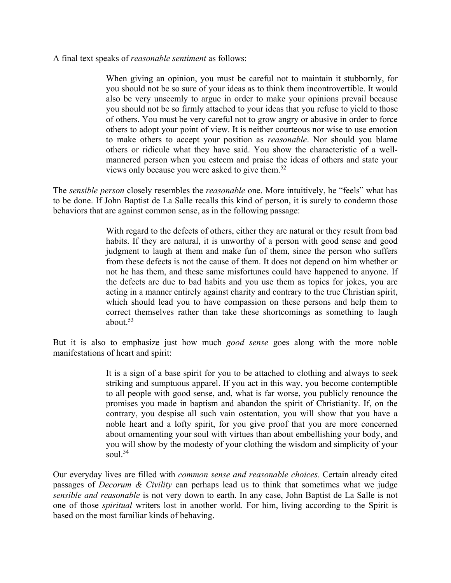A final text speaks of *reasonable sentiment* as follows:

When giving an opinion, you must be careful not to maintain it stubbornly, for you should not be so sure of your ideas as to think them incontrovertible. It would also be very unseemly to argue in order to make your opinions prevail because you should not be so firmly attached to your ideas that you refuse to yield to those of others. You must be very careful not to grow angry or abusive in order to force others to adopt your point of view. It is neither courteous nor wise to use emotion to make others to accept your position as *reasonable*. Nor should you blame others or ridicule what they have said. You show the characteristic of a wellmannered person when you esteem and praise the ideas of others and state your views only because you were asked to give them.52

The *sensible person* closely resembles the *reasonable* one. More intuitively, he "feels" what has to be done. If John Baptist de La Salle recalls this kind of person, it is surely to condemn those behaviors that are against common sense, as in the following passage:

> With regard to the defects of others, either they are natural or they result from bad habits. If they are natural, it is unworthy of a person with good sense and good judgment to laugh at them and make fun of them, since the person who suffers from these defects is not the cause of them. It does not depend on him whether or not he has them, and these same misfortunes could have happened to anyone. If the defects are due to bad habits and you use them as topics for jokes, you are acting in a manner entirely against charity and contrary to the true Christian spirit, which should lead you to have compassion on these persons and help them to correct themselves rather than take these shortcomings as something to laugh about  $53$

But it is also to emphasize just how much *good sense* goes along with the more noble manifestations of heart and spirit:

> It is a sign of a base spirit for you to be attached to clothing and always to seek striking and sumptuous apparel. If you act in this way, you become contemptible to all people with good sense, and, what is far worse, you publicly renounce the promises you made in baptism and abandon the spirit of Christianity. If, on the contrary, you despise all such vain ostentation, you will show that you have a noble heart and a lofty spirit, for you give proof that you are more concerned about ornamenting your soul with virtues than about embellishing your body, and you will show by the modesty of your clothing the wisdom and simplicity of your soul. $54$

Our everyday lives are filled with *common sense and reasonable choices*. Certain already cited passages of *Decorum & Civility* can perhaps lead us to think that sometimes what we judge *sensible and reasonable* is not very down to earth. In any case, John Baptist de La Salle is not one of those *spiritual* writers lost in another world. For him, living according to the Spirit is based on the most familiar kinds of behaving.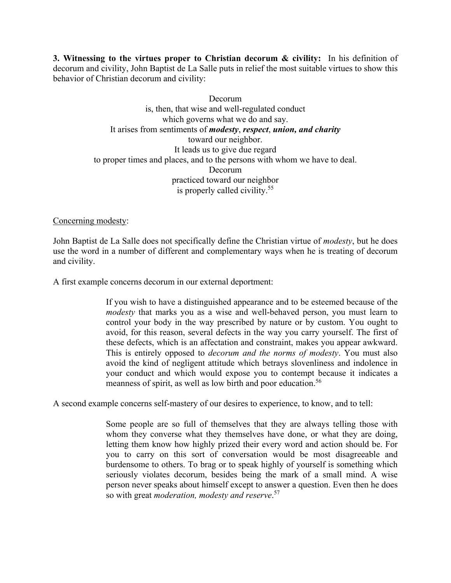**3. Witnessing to the virtues proper to Christian decorum & civility:** In his definition of decorum and civility, John Baptist de La Salle puts in relief the most suitable virtues to show this behavior of Christian decorum and civility:

> Decorum is, then, that wise and well-regulated conduct which governs what we do and say. It arises from sentiments of *modesty*, *respect*, *union, and charity* toward our neighbor. It leads us to give due regard to proper times and places, and to the persons with whom we have to deal. Decorum practiced toward our neighbor is properly called civility.55

# Concerning modesty:

John Baptist de La Salle does not specifically define the Christian virtue of *modesty*, but he does use the word in a number of different and complementary ways when he is treating of decorum and civility.

A first example concerns decorum in our external deportment:

If you wish to have a distinguished appearance and to be esteemed because of the *modesty* that marks you as a wise and well-behaved person, you must learn to control your body in the way prescribed by nature or by custom. You ought to avoid, for this reason, several defects in the way you carry yourself. The first of these defects, which is an affectation and constraint, makes you appear awkward. This is entirely opposed to *decorum and the norms of modesty*. You must also avoid the kind of negligent attitude which betrays slovenliness and indolence in your conduct and which would expose you to contempt because it indicates a meanness of spirit, as well as low birth and poor education.<sup>56</sup>

A second example concerns self-mastery of our desires to experience, to know, and to tell:

Some people are so full of themselves that they are always telling those with whom they converse what they themselves have done, or what they are doing, letting them know how highly prized their every word and action should be. For you to carry on this sort of conversation would be most disagreeable and burdensome to others. To brag or to speak highly of yourself is something which seriously violates decorum, besides being the mark of a small mind. A wise person never speaks about himself except to answer a question. Even then he does so with great *moderation, modesty and reserve*. 57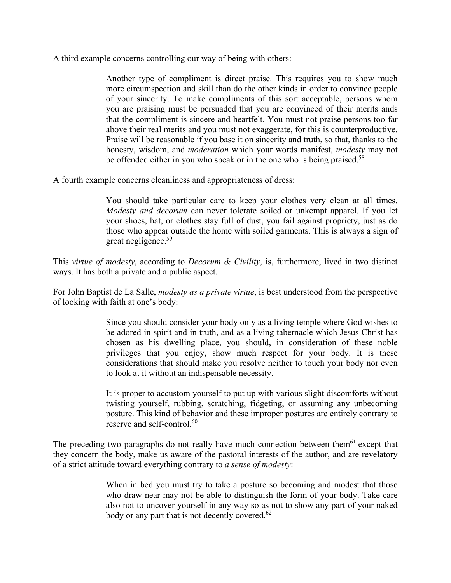A third example concerns controlling our way of being with others:

Another type of compliment is direct praise. This requires you to show much more circumspection and skill than do the other kinds in order to convince people of your sincerity. To make compliments of this sort acceptable, persons whom you are praising must be persuaded that you are convinced of their merits ands that the compliment is sincere and heartfelt. You must not praise persons too far above their real merits and you must not exaggerate, for this is counterproductive. Praise will be reasonable if you base it on sincerity and truth, so that, thanks to the honesty, wisdom, and *moderation* which your words manifest, *modesty* may not be offended either in you who speak or in the one who is being praised.<sup>58</sup>

A fourth example concerns cleanliness and appropriateness of dress:

You should take particular care to keep your clothes very clean at all times. *Modesty and decorum* can never tolerate soiled or unkempt apparel. If you let your shoes, hat, or clothes stay full of dust, you fail against propriety, just as do those who appear outside the home with soiled garments. This is always a sign of great negligence.<sup>59</sup>

This *virtue of modesty*, according to *Decorum & Civility*, is, furthermore, lived in two distinct ways. It has both a private and a public aspect.

For John Baptist de La Salle, *modesty as a private virtue*, is best understood from the perspective of looking with faith at one's body:

> Since you should consider your body only as a living temple where God wishes to be adored in spirit and in truth, and as a living tabernacle which Jesus Christ has chosen as his dwelling place, you should, in consideration of these noble privileges that you enjoy, show much respect for your body. It is these considerations that should make you resolve neither to touch your body nor even to look at it without an indispensable necessity.

> It is proper to accustom yourself to put up with various slight discomforts without twisting yourself, rubbing, scratching, fidgeting, or assuming any unbecoming posture. This kind of behavior and these improper postures are entirely contrary to reserve and self-control.<sup>60</sup>

The preceding two paragraphs do not really have much connection between them<sup>61</sup> except that they concern the body, make us aware of the pastoral interests of the author, and are revelatory of a strict attitude toward everything contrary to *a sense of modesty*:

> When in bed you must try to take a posture so becoming and modest that those who draw near may not be able to distinguish the form of your body. Take care also not to uncover yourself in any way so as not to show any part of your naked body or any part that is not decently covered.<sup>62</sup>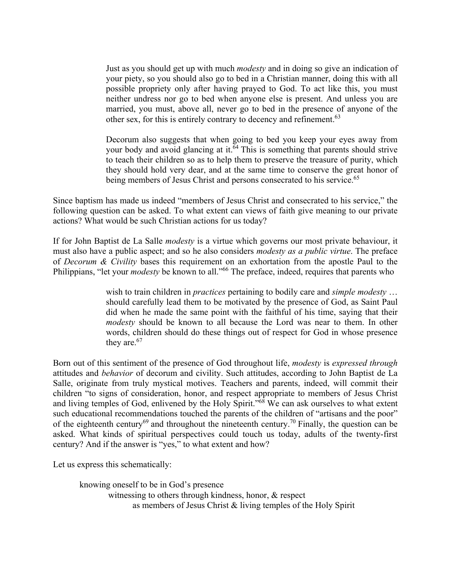Just as you should get up with much *modesty* and in doing so give an indication of your piety, so you should also go to bed in a Christian manner, doing this with all possible propriety only after having prayed to God. To act like this, you must neither undress nor go to bed when anyone else is present. And unless you are married, you must, above all, never go to bed in the presence of anyone of the other sex, for this is entirely contrary to decency and refinement.<sup>63</sup>

Decorum also suggests that when going to bed you keep your eyes away from your body and avoid glancing at it.<sup>64</sup> This is something that parents should strive to teach their children so as to help them to preserve the treasure of purity, which they should hold very dear, and at the same time to conserve the great honor of being members of Jesus Christ and persons consecrated to his service.<sup>65</sup>

Since baptism has made us indeed "members of Jesus Christ and consecrated to his service," the following question can be asked. To what extent can views of faith give meaning to our private actions? What would be such Christian actions for us today?

If for John Baptist de La Salle *modesty* is a virtue which governs our most private behaviour, it must also have a public aspect; and so he also considers *modesty as a public virtue*. The preface of *Decorum & Civility* bases this requirement on an exhortation from the apostle Paul to the Philippians, "let your *modesty* be known to all."<sup>66</sup> The preface, indeed, requires that parents who

> wish to train children in *practices* pertaining to bodily care and *simple modesty* … should carefully lead them to be motivated by the presence of God, as Saint Paul did when he made the same point with the faithful of his time, saying that their *modesty* should be known to all because the Lord was near to them. In other words, children should do these things out of respect for God in whose presence they are.<sup>67</sup>

Born out of this sentiment of the presence of God throughout life, *modesty* is *expressed through* attitudes and *behavior* of decorum and civility. Such attitudes, according to John Baptist de La Salle, originate from truly mystical motives. Teachers and parents, indeed, will commit their children "to signs of consideration, honor, and respect appropriate to members of Jesus Christ and living temples of God, enlivened by the Holy Spirit."<sup>68</sup> We can ask ourselves to what extent such educational recommendations touched the parents of the children of "artisans and the poor" of the eighteenth century<sup>69</sup> and throughout the nineteenth century.<sup>70</sup> Finally, the question can be asked. What kinds of spiritual perspectives could touch us today, adults of the twenty-first century? And if the answer is "yes," to what extent and how?

Let us express this schematically:

knowing oneself to be in God's presence witnessing to others through kindness, honor, & respect as members of Jesus Christ & living temples of the Holy Spirit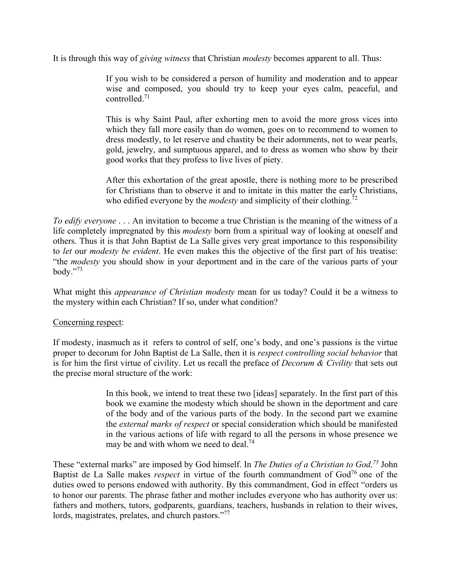It is through this way of *giving witness* that Christian *modesty* becomes apparent to all. Thus:

If you wish to be considered a person of humility and moderation and to appear wise and composed, you should try to keep your eyes calm, peaceful, and controlled<sup>71</sup>

This is why Saint Paul, after exhorting men to avoid the more gross vices into which they fall more easily than do women, goes on to recommend to women to dress modestly, to let reserve and chastity be their adornments, not to wear pearls, gold, jewelry, and sumptuous apparel, and to dress as women who show by their good works that they profess to live lives of piety.

After this exhortation of the great apostle, there is nothing more to be prescribed for Christians than to observe it and to imitate in this matter the early Christians, who edified everyone by the *modesty* and simplicity of their clothing.<sup>72</sup>

*To edify everyone* . . . An invitation to become a true Christian is the meaning of the witness of a life completely impregnated by this *modesty* born from a spiritual way of looking at oneself and others. Thus it is that John Baptist de La Salle gives very great importance to this responsibility to *let* our *modesty be evident*. He even makes this the objective of the first part of his treatise: "the *modesty* you should show in your deportment and in the care of the various parts of your body." $73$ 

What might this *appearance of Christian modesty* mean for us today? Could it be a witness to the mystery within each Christian? If so, under what condition?

### Concerning respect:

If modesty, inasmuch as it refers to control of self, one's body, and one's passions is the virtue proper to decorum for John Baptist de La Salle, then it is *respect controlling social behavior* that is for him the first virtue of civility. Let us recall the preface of *Decorum & Civility* that sets out the precise moral structure of the work:

> In this book, we intend to treat these two [ideas] separately. In the first part of this book we examine the modesty which should be shown in the deportment and care of the body and of the various parts of the body. In the second part we examine the *external marks of respect* or special consideration which should be manifested in the various actions of life with regard to all the persons in whose presence we may be and with whom we need to deal.<sup>74</sup>

These "external marks" are imposed by God himself. In *The Duties of a Christian to God,75* John Baptist de La Salle makes *respect* in virtue of the fourth commandment of God<sup>76</sup> one of the duties owed to persons endowed with authority. By this commandment, God in effect "orders us to honor our parents. The phrase father and mother includes everyone who has authority over us: fathers and mothers, tutors, godparents, guardians, teachers, husbands in relation to their wives, lords, magistrates, prelates, and church pastors."<sup>77</sup>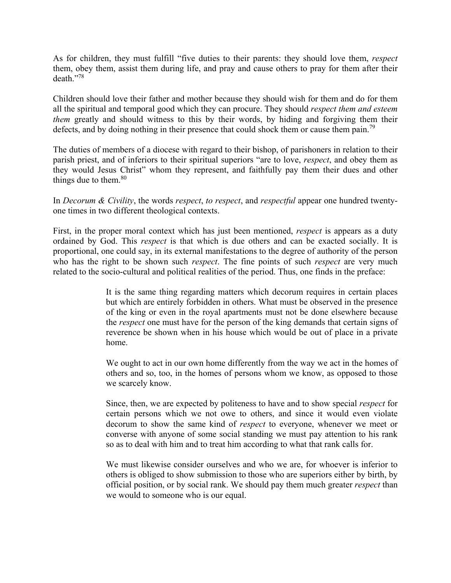As for children, they must fulfill "five duties to their parents: they should love them, *respect* them, obey them, assist them during life, and pray and cause others to pray for them after their death."78

Children should love their father and mother because they should wish for them and do for them all the spiritual and temporal good which they can procure. They should *respect them and esteem them* greatly and should witness to this by their words, by hiding and forgiving them their defects, and by doing nothing in their presence that could shock them or cause them pain.<sup>79</sup>

The duties of members of a diocese with regard to their bishop, of parishoners in relation to their parish priest, and of inferiors to their spiritual superiors "are to love, *respect*, and obey them as they would Jesus Christ" whom they represent, and faithfully pay them their dues and other things due to them. $80$ 

In *Decorum & Civility*, the words *respect*, *to respect*, and *respectful* appear one hundred twentyone times in two different theological contexts.

First, in the proper moral context which has just been mentioned, *respect* is appears as a duty ordained by God. This *respect* is that which is due others and can be exacted socially. It is proportional, one could say, in its external manifestations to the degree of authority of the person who has the right to be shown such *respect*. The fine points of such *respect* are very much related to the socio-cultural and political realities of the period. Thus, one finds in the preface:

> It is the same thing regarding matters which decorum requires in certain places but which are entirely forbidden in others. What must be observed in the presence of the king or even in the royal apartments must not be done elsewhere because the *respect* one must have for the person of the king demands that certain signs of reverence be shown when in his house which would be out of place in a private home.

> We ought to act in our own home differently from the way we act in the homes of others and so, too, in the homes of persons whom we know, as opposed to those we scarcely know.

> Since, then, we are expected by politeness to have and to show special *respect* for certain persons which we not owe to others, and since it would even violate decorum to show the same kind of *respect* to everyone, whenever we meet or converse with anyone of some social standing we must pay attention to his rank so as to deal with him and to treat him according to what that rank calls for.

> We must likewise consider ourselves and who we are, for whoever is inferior to others is obliged to show submission to those who are superiors either by birth, by official position, or by social rank. We should pay them much greater *respect* than we would to someone who is our equal.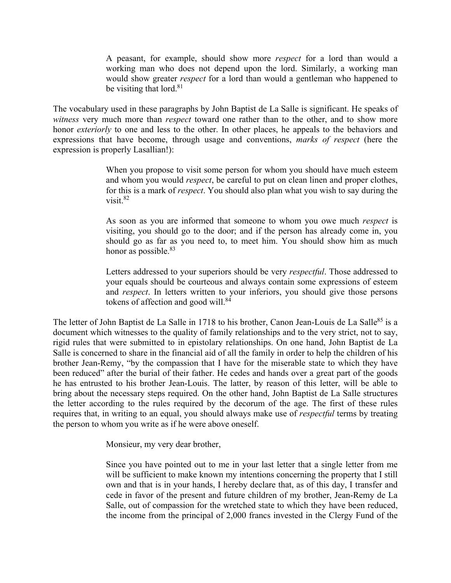A peasant, for example, should show more *respect* for a lord than would a working man who does not depend upon the lord. Similarly, a working man would show greater *respect* for a lord than would a gentleman who happened to be visiting that lord. $81$ 

The vocabulary used in these paragraphs by John Baptist de La Salle is significant. He speaks of *witness* very much more than *respect* toward one rather than to the other, and to show more honor *exteriorly* to one and less to the other. In other places, he appeals to the behaviors and expressions that have become, through usage and conventions, *marks of respect* (here the expression is properly Lasallian!):

> When you propose to visit some person for whom you should have much esteem and whom you would *respect*, be careful to put on clean linen and proper clothes, for this is a mark of *respect*. You should also plan what you wish to say during the visit $82$

> As soon as you are informed that someone to whom you owe much *respect* is visiting, you should go to the door; and if the person has already come in, you should go as far as you need to, to meet him. You should show him as much honor as possible.<sup>83</sup>

> Letters addressed to your superiors should be very *respectful*. Those addressed to your equals should be courteous and always contain some expressions of esteem and *respect*. In letters written to your inferiors, you should give those persons tokens of affection and good will.<sup>84</sup>

The letter of John Baptist de La Salle in 1718 to his brother, Canon Jean-Louis de La Salle<sup>85</sup> is a document which witnesses to the quality of family relationships and to the very strict, not to say, rigid rules that were submitted to in epistolary relationships. On one hand, John Baptist de La Salle is concerned to share in the financial aid of all the family in order to help the children of his brother Jean-Remy, "by the compassion that I have for the miserable state to which they have been reduced" after the burial of their father. He cedes and hands over a great part of the goods he has entrusted to his brother Jean-Louis. The latter, by reason of this letter, will be able to bring about the necessary steps required. On the other hand, John Baptist de La Salle structures the letter according to the rules required by the decorum of the age. The first of these rules requires that, in writing to an equal, you should always make use of *respectful* terms by treating the person to whom you write as if he were above oneself.

Monsieur, my very dear brother,

Since you have pointed out to me in your last letter that a single letter from me will be sufficient to make known my intentions concerning the property that I still own and that is in your hands, I hereby declare that, as of this day, I transfer and cede in favor of the present and future children of my brother, Jean-Remy de La Salle, out of compassion for the wretched state to which they have been reduced, the income from the principal of 2,000 francs invested in the Clergy Fund of the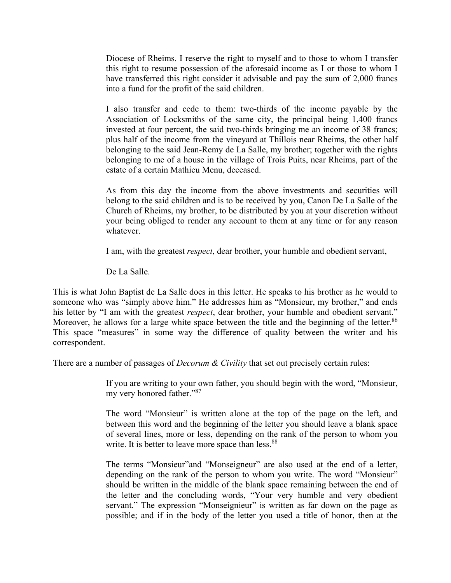Diocese of Rheims. I reserve the right to myself and to those to whom I transfer this right to resume possession of the aforesaid income as I or those to whom I have transferred this right consider it advisable and pay the sum of 2,000 francs into a fund for the profit of the said children.

I also transfer and cede to them: two-thirds of the income payable by the Association of Locksmiths of the same city, the principal being 1,400 francs invested at four percent, the said two-thirds bringing me an income of 38 francs; plus half of the income from the vineyard at Thillois near Rheims, the other half belonging to the said Jean-Remy de La Salle, my brother; together with the rights belonging to me of a house in the village of Trois Puits, near Rheims, part of the estate of a certain Mathieu Menu, deceased.

As from this day the income from the above investments and securities will belong to the said children and is to be received by you, Canon De La Salle of the Church of Rheims, my brother, to be distributed by you at your discretion without your being obliged to render any account to them at any time or for any reason whatever.

I am, with the greatest *respect*, dear brother, your humble and obedient servant,

De La Salle.

This is what John Baptist de La Salle does in this letter. He speaks to his brother as he would to someone who was "simply above him." He addresses him as "Monsieur, my brother," and ends his letter by "I am with the greatest *respect*, dear brother, your humble and obedient servant." Moreover, he allows for a large white space between the title and the beginning of the letter.<sup>86</sup> This space "measures" in some way the difference of quality between the writer and his correspondent.

There are a number of passages of *Decorum & Civility* that set out precisely certain rules:

If you are writing to your own father, you should begin with the word, "Monsieur, my very honored father."87

The word "Monsieur" is written alone at the top of the page on the left, and between this word and the beginning of the letter you should leave a blank space of several lines, more or less, depending on the rank of the person to whom you write. It is better to leave more space than less.<sup>88</sup>

The terms "Monsieur"and "Monseigneur" are also used at the end of a letter, depending on the rank of the person to whom you write. The word "Monsieur" should be written in the middle of the blank space remaining between the end of the letter and the concluding words, "Your very humble and very obedient servant." The expression "Monseignieur" is written as far down on the page as possible; and if in the body of the letter you used a title of honor, then at the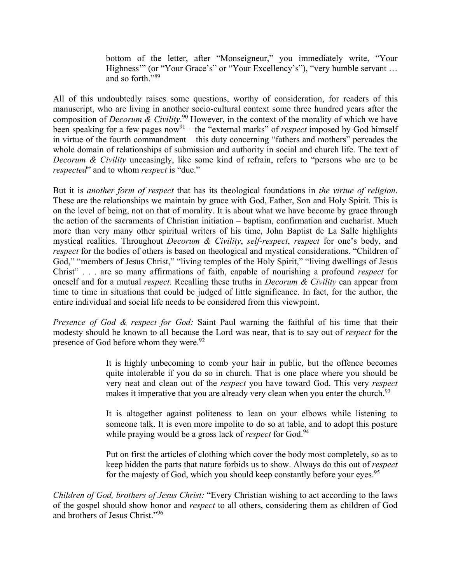bottom of the letter, after "Monseigneur," you immediately write, "Your Highness'" (or "Your Grace's" or "Your Excellency's"), "very humble servant ... and so forth."<sup>89</sup>

All of this undoubtedly raises some questions, worthy of consideration, for readers of this manuscript, who are living in another socio-cultural context some three hundred years after the composition of *Decorum & Civility*. 90 However, in the context of the morality of which we have been speaking for a few pages now<sup>91</sup> – the "external marks" of *respect* imposed by God himself in virtue of the fourth commandment – this duty concerning "fathers and mothers" pervades the whole domain of relationships of submission and authority in social and church life. The text of *Decorum & Civility* unceasingly, like some kind of refrain, refers to "persons who are to be *respected*" and to whom *respect* is "due."

But it is *another form of respect* that has its theological foundations in *the virtue of religion*. These are the relationships we maintain by grace with God, Father, Son and Holy Spirit. This is on the level of being, not on that of morality. It is about what we have become by grace through the action of the sacraments of Christian initiation – baptism, confirmation and eucharist. Much more than very many other spiritual writers of his time, John Baptist de La Salle highlights mystical realities. Throughout *Decorum & Civility*, *self-respect*, *respect* for one's body, and *respect* for the bodies of others is based on theological and mystical considerations. "Children of God," "members of Jesus Christ," "living temples of the Holy Spirit," "living dwellings of Jesus Christ" . . . are so many affirmations of faith, capable of nourishing a profound *respect* for oneself and for a mutual *respect*. Recalling these truths in *Decorum & Civility* can appear from time to time in situations that could be judged of little significance. In fact, for the author, the entire individual and social life needs to be considered from this viewpoint.

*Presence of God & respect for God:* Saint Paul warning the faithful of his time that their modesty should be known to all because the Lord was near, that is to say out of *respect* for the presence of God before whom they were.<sup>92</sup>

> It is highly unbecoming to comb your hair in public, but the offence becomes quite intolerable if you do so in church. That is one place where you should be very neat and clean out of the *respect* you have toward God. This very *respect* makes it imperative that you are already very clean when you enter the church.<sup>93</sup>

> It is altogether against politeness to lean on your elbows while listening to someone talk. It is even more impolite to do so at table, and to adopt this posture while praying would be a gross lack of *respect* for God.<sup>94</sup>

> Put on first the articles of clothing which cover the body most completely, so as to keep hidden the parts that nature forbids us to show. Always do this out of *respect* for the majesty of God, which you should keep constantly before your eyes.<sup>95</sup>

*Children of God, brothers of Jesus Christ:* "Every Christian wishing to act according to the laws of the gospel should show honor and *respect* to all others, considering them as children of God and brothers of Jesus Christ."96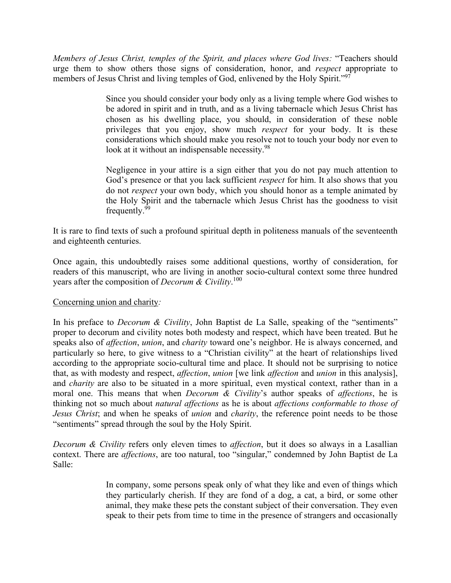*Members of Jesus Christ, temples of the Spirit, and places where God lives:* "Teachers should urge them to show others those signs of consideration, honor, and *respect* appropriate to members of Jesus Christ and living temples of God, enlivened by the Holy Spirit."<sup>97</sup>

> Since you should consider your body only as a living temple where God wishes to be adored in spirit and in truth, and as a living tabernacle which Jesus Christ has chosen as his dwelling place, you should, in consideration of these noble privileges that you enjoy, show much *respect* for your body. It is these considerations which should make you resolve not to touch your body nor even to look at it without an indispensable necessity.<sup>98</sup>

> Negligence in your attire is a sign either that you do not pay much attention to God's presence or that you lack sufficient *respect* for him. It also shows that you do not *respect* your own body, which you should honor as a temple animated by the Holy Spirit and the tabernacle which Jesus Christ has the goodness to visit frequently.99

It is rare to find texts of such a profound spiritual depth in politeness manuals of the seventeenth and eighteenth centuries.

Once again, this undoubtedly raises some additional questions, worthy of consideration, for readers of this manuscript, who are living in another socio-cultural context some three hundred years after the composition of *Decorum & Civility*. 100

# Concerning union and charity*:*

In his preface to *Decorum & Civility*, John Baptist de La Salle, speaking of the "sentiments" proper to decorum and civility notes both modesty and respect, which have been treated. But he speaks also of *affection*, *union*, and *charity* toward one's neighbor. He is always concerned, and particularly so here, to give witness to a "Christian civility" at the heart of relationships lived according to the appropriate socio-cultural time and place. It should not be surprising to notice that, as with modesty and respect, *affection*, *union* [we link *affection* and *union* in this analysis], and *charity* are also to be situated in a more spiritual, even mystical context, rather than in a moral one. This means that when *Decorum & Civility*'s author speaks of *affections*, he is thinking not so much about *natural affections* as he is about *affections conformable to those of Jesus Christ*; and when he speaks of *union* and *charity*, the reference point needs to be those "sentiments" spread through the soul by the Holy Spirit.

*Decorum & Civility* refers only eleven times to *affection*, but it does so always in a Lasallian context. There are *affections*, are too natural, too "singular," condemned by John Baptist de La Salle:

> In company, some persons speak only of what they like and even of things which they particularly cherish. If they are fond of a dog, a cat, a bird, or some other animal, they make these pets the constant subject of their conversation. They even speak to their pets from time to time in the presence of strangers and occasionally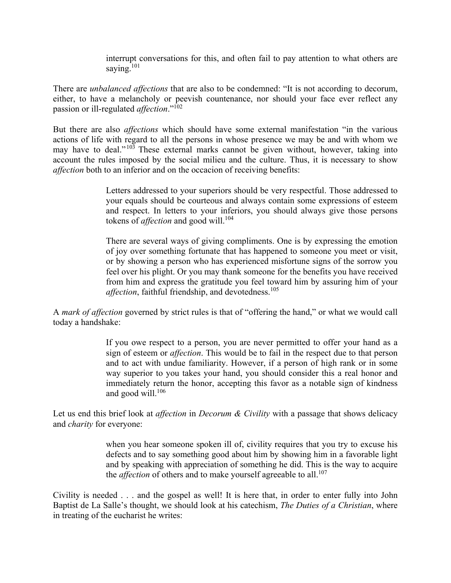interrupt conversations for this, and often fail to pay attention to what others are saving.<sup>101</sup>

There are *unbalanced affections* that are also to be condemned: "It is not according to decorum, either, to have a melancholy or peevish countenance, nor should your face ever reflect any passion or ill-regulated *affection*."102

But there are also *affections* which should have some external manifestation "in the various actions of life with regard to all the persons in whose presence we may be and with whom we may have to deal." $103$  These external marks cannot be given without, however, taking into account the rules imposed by the social milieu and the culture. Thus, it is necessary to show *affection* both to an inferior and on the occacion of receiving benefits:

> Letters addressed to your superiors should be very respectful. Those addressed to your equals should be courteous and always contain some expressions of esteem and respect. In letters to your inferiors, you should always give those persons tokens of *affection* and good will.<sup>104</sup>

> There are several ways of giving compliments. One is by expressing the emotion of joy over something fortunate that has happened to someone you meet or visit, or by showing a person who has experienced misfortune signs of the sorrow you feel over his plight. Or you may thank someone for the benefits you have received from him and express the gratitude you feel toward him by assuring him of your *affection*, faithful friendship, and devotedness.<sup>105</sup>

A *mark of affection* governed by strict rules is that of "offering the hand," or what we would call today a handshake:

> If you owe respect to a person, you are never permitted to offer your hand as a sign of esteem or *affection*. This would be to fail in the respect due to that person and to act with undue familiarity. However, if a person of high rank or in some way superior to you takes your hand, you should consider this a real honor and immediately return the honor, accepting this favor as a notable sign of kindness and good will. $106$

Let us end this brief look at *affection* in *Decorum & Civility* with a passage that shows delicacy and *charity* for everyone:

> when you hear someone spoken ill of, civility requires that you try to excuse his defects and to say something good about him by showing him in a favorable light and by speaking with appreciation of something he did. This is the way to acquire the *affection* of others and to make yourself agreeable to all.<sup>107</sup>

Civility is needed . . . and the gospel as well! It is here that, in order to enter fully into John Baptist de La Salle's thought, we should look at his catechism, *The Duties of a Christian*, where in treating of the eucharist he writes: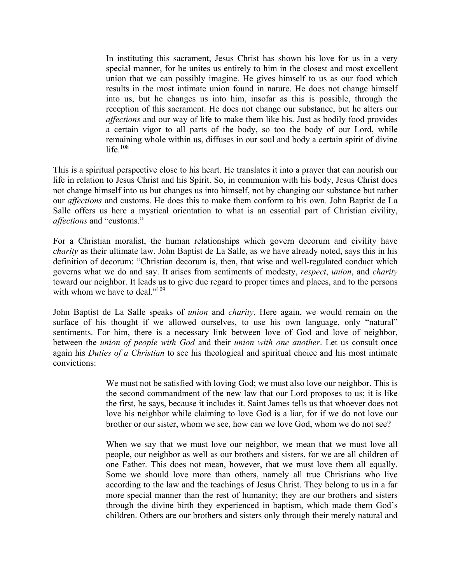In instituting this sacrament, Jesus Christ has shown his love for us in a very special manner, for he unites us entirely to him in the closest and most excellent union that we can possibly imagine. He gives himself to us as our food which results in the most intimate union found in nature. He does not change himself into us, but he changes us into him, insofar as this is possible, through the reception of this sacrament. He does not change our substance, but he alters our *affections* and our way of life to make them like his. Just as bodily food provides a certain vigor to all parts of the body, so too the body of our Lord, while remaining whole within us, diffuses in our soul and body a certain spirit of divine life $108$ 

This is a spiritual perspective close to his heart. He translates it into a prayer that can nourish our life in relation to Jesus Christ and his Spirit. So, in communion with his body, Jesus Christ does not change himself into us but changes us into himself, not by changing our substance but rather our *affections* and customs. He does this to make them conform to his own. John Baptist de La Salle offers us here a mystical orientation to what is an essential part of Christian civility, *affections* and "customs."

For a Christian moralist, the human relationships which govern decorum and civility have *charity* as their ultimate law. John Baptist de La Salle, as we have already noted, says this in his definition of decorum: "Christian decorum is, then, that wise and well-regulated conduct which governs what we do and say. It arises from sentiments of modesty, *respect*, *union*, and *charity* toward our neighbor. It leads us to give due regard to proper times and places, and to the persons with whom we have to deal."<sup>109</sup>

John Baptist de La Salle speaks of *union* and *charity*. Here again, we would remain on the surface of his thought if we allowed ourselves, to use his own language, only "natural" sentiments. For him, there is a necessary link between love of God and love of neighbor, between the *union of people with God* and their *union with one another*. Let us consult once again his *Duties of a Christian* to see his theological and spiritual choice and his most intimate convictions:

> We must not be satisfied with loving God; we must also love our neighbor. This is the second commandment of the new law that our Lord proposes to us; it is like the first, he says, because it includes it. Saint James tells us that whoever does not love his neighbor while claiming to love God is a liar, for if we do not love our brother or our sister, whom we see, how can we love God, whom we do not see?

> When we say that we must love our neighbor, we mean that we must love all people, our neighbor as well as our brothers and sisters, for we are all children of one Father. This does not mean, however, that we must love them all equally. Some we should love more than others, namely all true Christians who live according to the law and the teachings of Jesus Christ. They belong to us in a far more special manner than the rest of humanity; they are our brothers and sisters through the divine birth they experienced in baptism, which made them God's children. Others are our brothers and sisters only through their merely natural and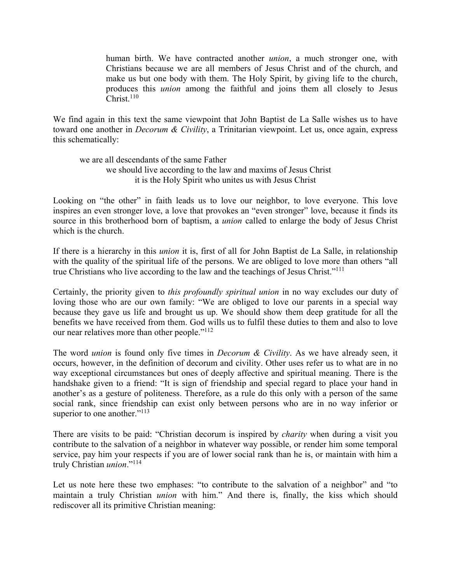human birth. We have contracted another *union*, a much stronger one, with Christians because we are all members of Jesus Christ and of the church, and make us but one body with them. The Holy Spirit, by giving life to the church, produces this *union* among the faithful and joins them all closely to Jesus  $Christ<sup>110</sup>$ 

We find again in this text the same viewpoint that John Baptist de La Salle wishes us to have toward one another in *Decorum & Civility*, a Trinitarian viewpoint. Let us, once again, express this schematically:

we are all descendants of the same Father we should live according to the law and maxims of Jesus Christ it is the Holy Spirit who unites us with Jesus Christ

Looking on "the other" in faith leads us to love our neighbor, to love everyone. This love inspires an even stronger love, a love that provokes an "even stronger" love, because it finds its source in this brotherhood born of baptism, a *union* called to enlarge the body of Jesus Christ which is the church.

If there is a hierarchy in this *union* it is, first of all for John Baptist de La Salle, in relationship with the quality of the spiritual life of the persons. We are obliged to love more than others "all true Christians who live according to the law and the teachings of Jesus Christ."111

Certainly, the priority given to *this profoundly spiritual union* in no way excludes our duty of loving those who are our own family: "We are obliged to love our parents in a special way because they gave us life and brought us up. We should show them deep gratitude for all the benefits we have received from them. God wills us to fulfil these duties to them and also to love our near relatives more than other people."112

The word *union* is found only five times in *Decorum & Civility*. As we have already seen, it occurs, however, in the definition of decorum and civility. Other uses refer us to what are in no way exceptional circumstances but ones of deeply affective and spiritual meaning. There is the handshake given to a friend: "It is sign of friendship and special regard to place your hand in another's as a gesture of politeness. Therefore, as a rule do this only with a person of the same social rank, since friendship can exist only between persons who are in no way inferior or superior to one another."<sup>113</sup>

There are visits to be paid: "Christian decorum is inspired by *charity* when during a visit you contribute to the salvation of a neighbor in whatever way possible, or render him some temporal service, pay him your respects if you are of lower social rank than he is, or maintain with him a truly Christian *union*."114

Let us note here these two emphases: "to contribute to the salvation of a neighbor" and "to maintain a truly Christian *union* with him." And there is, finally, the kiss which should rediscover all its primitive Christian meaning: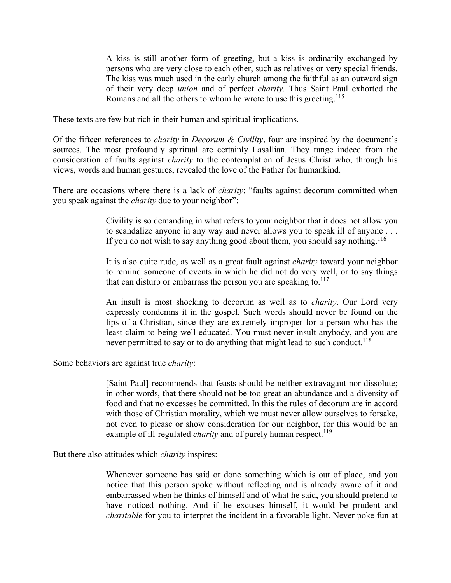A kiss is still another form of greeting, but a kiss is ordinarily exchanged by persons who are very close to each other, such as relatives or very special friends. The kiss was much used in the early church among the faithful as an outward sign of their very deep *union* and of perfect *charity*. Thus Saint Paul exhorted the Romans and all the others to whom he wrote to use this greeting.<sup>115</sup>

These texts are few but rich in their human and spiritual implications.

Of the fifteen references to *charity* in *Decorum & Civility*, four are inspired by the document's sources. The most profoundly spiritual are certainly Lasallian. They range indeed from the consideration of faults against *charity* to the contemplation of Jesus Christ who, through his views, words and human gestures, revealed the love of the Father for humankind.

There are occasions where there is a lack of *charity*: "faults against decorum committed when you speak against the *charity* due to your neighbor":

> Civility is so demanding in what refers to your neighbor that it does not allow you to scandalize anyone in any way and never allows you to speak ill of anyone . . . If you do not wish to say anything good about them, you should say nothing.<sup>116</sup>

> It is also quite rude, as well as a great fault against *charity* toward your neighbor to remind someone of events in which he did not do very well, or to say things that can disturb or embarrass the person you are speaking to. $117$

> An insult is most shocking to decorum as well as to *charity*. Our Lord very expressly condemns it in the gospel. Such words should never be found on the lips of a Christian, since they are extremely improper for a person who has the least claim to being well-educated. You must never insult anybody, and you are never permitted to say or to do anything that might lead to such conduct.<sup>118</sup>

Some behaviors are against true *charity*:

[Saint Paul] recommends that feasts should be neither extravagant nor dissolute; in other words, that there should not be too great an abundance and a diversity of food and that no excesses be committed. In this the rules of decorum are in accord with those of Christian morality, which we must never allow ourselves to forsake, not even to please or show consideration for our neighbor, for this would be an example of ill-regulated *charity* and of purely human respect.<sup>119</sup>

But there also attitudes which *charity* inspires:

Whenever someone has said or done something which is out of place, and you notice that this person spoke without reflecting and is already aware of it and embarrassed when he thinks of himself and of what he said, you should pretend to have noticed nothing. And if he excuses himself, it would be prudent and *charitable* for you to interpret the incident in a favorable light. Never poke fun at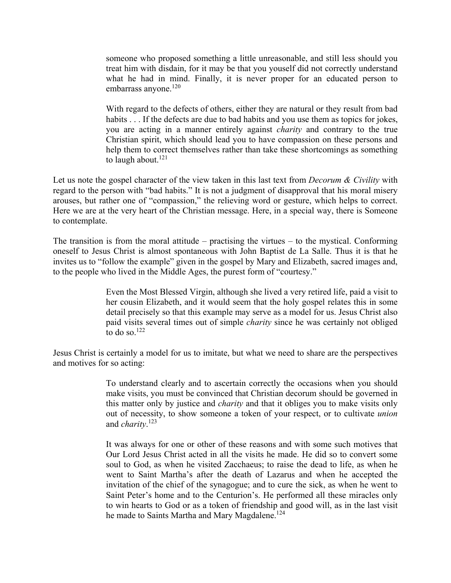someone who proposed something a little unreasonable, and still less should you treat him with disdain, for it may be that you youself did not correctly understand what he had in mind. Finally, it is never proper for an educated person to embarrass anyone.<sup>120</sup>

With regard to the defects of others, either they are natural or they result from bad habits . . . If the defects are due to bad habits and you use them as topics for jokes, you are acting in a manner entirely against *charity* and contrary to the true Christian spirit, which should lead you to have compassion on these persons and help them to correct themselves rather than take these shortcomings as something to laugh about. $121$ 

Let us note the gospel character of the view taken in this last text from *Decorum & Civility* with regard to the person with "bad habits." It is not a judgment of disapproval that his moral misery arouses, but rather one of "compassion," the relieving word or gesture, which helps to correct. Here we are at the very heart of the Christian message. Here, in a special way, there is Someone to contemplate.

The transition is from the moral attitude – practising the virtues – to the mystical. Conforming oneself to Jesus Christ is almost spontaneous with John Baptist de La Salle. Thus it is that he invites us to "follow the example" given in the gospel by Mary and Elizabeth, sacred images and, to the people who lived in the Middle Ages, the purest form of "courtesy."

> Even the Most Blessed Virgin, although she lived a very retired life, paid a visit to her cousin Elizabeth, and it would seem that the holy gospel relates this in some detail precisely so that this example may serve as a model for us. Jesus Christ also paid visits several times out of simple *charity* since he was certainly not obliged to do so. $122$

Jesus Christ is certainly a model for us to imitate, but what we need to share are the perspectives and motives for so acting:

> To understand clearly and to ascertain correctly the occasions when you should make visits, you must be convinced that Christian decorum should be governed in this matter only by justice and *charity* and that it obliges you to make visits only out of necessity, to show someone a token of your respect, or to cultivate *union* and *charity*. 123

> It was always for one or other of these reasons and with some such motives that Our Lord Jesus Christ acted in all the visits he made. He did so to convert some soul to God, as when he visited Zacchaeus; to raise the dead to life, as when he went to Saint Martha's after the death of Lazarus and when he accepted the invitation of the chief of the synagogue; and to cure the sick, as when he went to Saint Peter's home and to the Centurion's. He performed all these miracles only to win hearts to God or as a token of friendship and good will, as in the last visit he made to Saints Martha and Mary Magdalene.<sup>124</sup>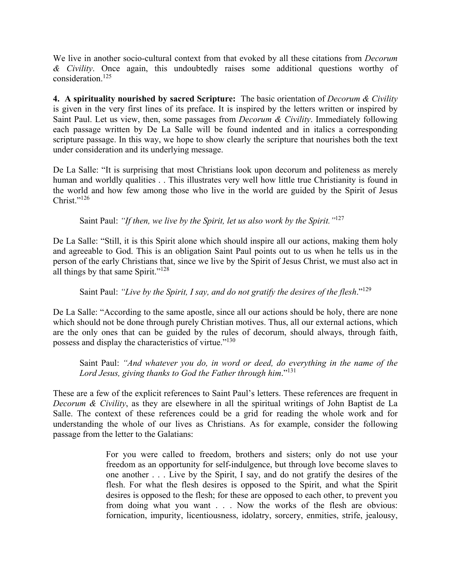We live in another socio-cultural context from that evoked by all these citations from *Decorum & Civility*. Once again, this undoubtedly raises some additional questions worthy of consideration.125

**4. A spirituality nourished by sacred Scripture:** The basic orientation of *Decorum & Civility* is given in the very first lines of its preface. It is inspired by the letters written or inspired by Saint Paul. Let us view, then, some passages from *Decorum & Civility*. Immediately following each passage written by De La Salle will be found indented and in italics a corresponding scripture passage. In this way, we hope to show clearly the scripture that nourishes both the text under consideration and its underlying message.

De La Salle: "It is surprising that most Christians look upon decorum and politeness as merely human and worldly qualities . . This illustrates very well how little true Christianity is found in the world and how few among those who live in the world are guided by the Spirit of Jesus Christ $"$ <sup>126</sup>

Saint Paul: *"If then, we live by the Spirit, let us also work by the Spirit."*<sup>127</sup>

De La Salle: "Still, it is this Spirit alone which should inspire all our actions, making them holy and agreeable to God. This is an obligation Saint Paul points out to us when he tells us in the person of the early Christians that, since we live by the Spirit of Jesus Christ, we must also act in all things by that same Spirit."128

Saint Paul: *"Live by the Spirit, I say, and do not gratify the desires of the flesh*."129

De La Salle: "According to the same apostle, since all our actions should be holy, there are none which should not be done through purely Christian motives. Thus, all our external actions, which are the only ones that can be guided by the rules of decorum, should always, through faith, possess and display the characteristics of virtue."130

Saint Paul: *"And whatever you do, in word or deed, do everything in the name of the Lord Jesus, giving thanks to God the Father through him*."<sup>131</sup>

These are a few of the explicit references to Saint Paul's letters. These references are frequent in *Decorum & Civility*, as they are elsewhere in all the spiritual writings of John Baptist de La Salle. The context of these references could be a grid for reading the whole work and for understanding the whole of our lives as Christians. As for example, consider the following passage from the letter to the Galatians:

> For you were called to freedom, brothers and sisters; only do not use your freedom as an opportunity for self-indulgence, but through love become slaves to one another . . . Live by the Spirit, I say, and do not gratify the desires of the flesh. For what the flesh desires is opposed to the Spirit, and what the Spirit desires is opposed to the flesh; for these are opposed to each other, to prevent you from doing what you want . . . Now the works of the flesh are obvious: fornication, impurity, licentiousness, idolatry, sorcery, enmities, strife, jealousy,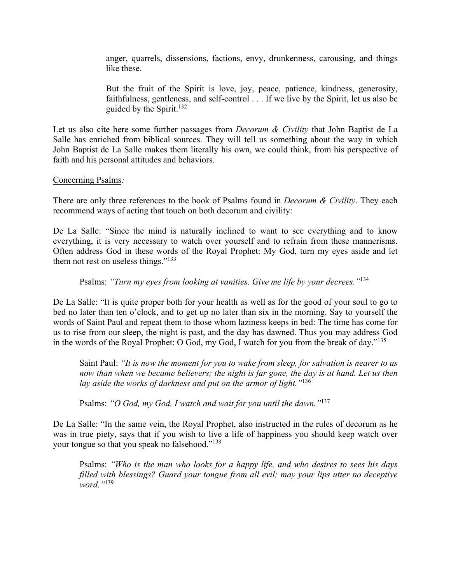anger, quarrels, dissensions, factions, envy, drunkenness, carousing, and things like these.

But the fruit of the Spirit is love, joy, peace, patience, kindness, generosity, faithfulness, gentleness, and self-control . . . If we live by the Spirit, let us also be guided by the Spirit.<sup>132</sup>

Let us also cite here some further passages from *Decorum & Civility* that John Baptist de La Salle has enriched from biblical sources. They will tell us something about the way in which John Baptist de La Salle makes them literally his own, we could think, from his perspective of faith and his personal attitudes and behaviors.

### Concerning Psalms*:*

There are only three references to the book of Psalms found in *Decorum & Civility*. They each recommend ways of acting that touch on both decorum and civility:

De La Salle: "Since the mind is naturally inclined to want to see everything and to know everything, it is very necessary to watch over yourself and to refrain from these mannerisms. Often address God in these words of the Royal Prophet: My God, turn my eyes aside and let them not rest on useless things."<sup>133</sup>

### Psalms: *"Turn my eyes from looking at vanities. Give me life by your decrees."*<sup>134</sup>

De La Salle: "It is quite proper both for your health as well as for the good of your soul to go to bed no later than ten o'clock, and to get up no later than six in the morning. Say to yourself the words of Saint Paul and repeat them to those whom laziness keeps in bed: The time has come for us to rise from our sleep, the night is past, and the day has dawned. Thus you may address God in the words of the Royal Prophet: O God, my God, I watch for you from the break of day."135

Saint Paul: *"It is now the moment for you to wake from sleep, for salvation is nearer to us*  now than when we became believers; the night is far gone, the day is at hand. Let us then *lay aside the works of darkness and put on the armor of light."*<sup>136</sup>

Psalms: *"O God, my God, I watch and wait for you until the dawn."*<sup>137</sup>

De La Salle: "In the same vein, the Royal Prophet, also instructed in the rules of decorum as he was in true piety, says that if you wish to live a life of happiness you should keep watch over your tongue so that you speak no falsehood."<sup>138</sup>

Psalms: *"Who is the man who looks for a happy life, and who desires to sees his days filled with blessings? Guard your tongue from all evil; may your lips utter no deceptive word."*<sup>139</sup>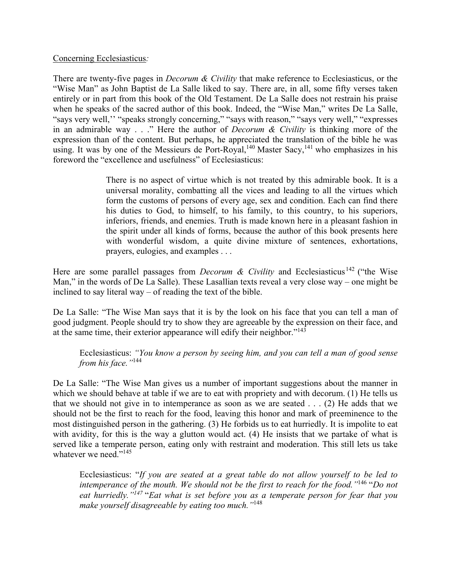### Concerning Ecclesiasticus*:*

There are twenty-five pages in *Decorum & Civility* that make reference to Ecclesiasticus, or the "Wise Man" as John Baptist de La Salle liked to say. There are, in all, some fifty verses taken entirely or in part from this book of the Old Testament. De La Salle does not restrain his praise when he speaks of the sacred author of this book. Indeed, the "Wise Man," writes De La Salle, "says very well,'' "speaks strongly concerning," "says with reason," "says very well," "expresses in an admirable way . . ." Here the author of *Decorum & Civility* is thinking more of the expression than of the content. But perhaps, he appreciated the translation of the bible he was using. It was by one of the Messieurs de Port-Royal,<sup>140</sup> Master Sacy,<sup>141</sup> who emphasizes in his foreword the "excellence and usefulness" of Ecclesiasticus:

> There is no aspect of virtue which is not treated by this admirable book. It is a universal morality, combatting all the vices and leading to all the virtues which form the customs of persons of every age, sex and condition. Each can find there his duties to God, to himself, to his family, to this country, to his superiors, inferiors, friends, and enemies. Truth is made known here in a pleasant fashion in the spirit under all kinds of forms, because the author of this book presents here with wonderful wisdom, a quite divine mixture of sentences, exhortations, prayers, eulogies, and examples . . .

Here are some parallel passages from *Decorum & Civility* and Ecclesiasticus<sup>142</sup> ("the Wise Man," in the words of De La Salle). These Lasallian texts reveal a very close way – one might be inclined to say literal way – of reading the text of the bible.

De La Salle: "The Wise Man says that it is by the look on his face that you can tell a man of good judgment. People should try to show they are agreeable by the expression on their face, and at the same time, their exterior appearance will edify their neighbor."143

Ecclesiasticus: *"You know a person by seeing him, and you can tell a man of good sense from his face."*<sup>144</sup>

De La Salle: "The Wise Man gives us a number of important suggestions about the manner in which we should behave at table if we are to eat with propriety and with decorum. (1) He tells us that we should not give in to intemperance as soon as we are seated . . . (2) He adds that we should not be the first to reach for the food, leaving this honor and mark of preeminence to the most distinguished person in the gathering. (3) He forbids us to eat hurriedly. It is impolite to eat with avidity, for this is the way a glutton would act. (4) He insists that we partake of what is served like a temperate person, eating only with restraint and moderation. This still lets us take whatever we need."<sup>145</sup>

Ecclesiasticus: "*If you are seated at a great table do not allow yourself to be led to intemperance of the mouth. We should not be the first to reach for the food."*146 "*Do not eat hurriedly."147* "*Eat what is set before you as a temperate person for fear that you make yourself disagreeable by eating too much."*<sup>148</sup>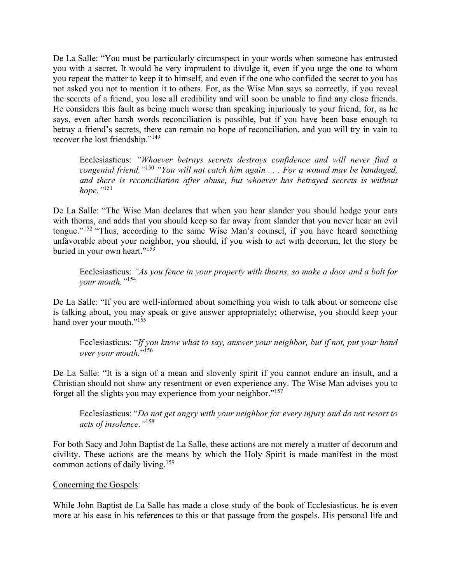De La Salle: "You must be particularly circumspect in your words when someone has entrusted you with a secret. It would be very imprudent to divulge it, even if you urge the one to whom you repeat the matter to keep it to himself, and even if the one who confided the secret to you has not asked you not to mention it to others. For, as the Wise Man says so correctly, if you reveal the secrets of a friend, you lose all credibility and will soon be unable to find any close friends. He considers this fault as being much worse than speaking injuriously to your friend, for, as he says, even after harsh words reconciliation is possible, but if you have been base enough to betray a friend's secrets, there can remain no hope of reconciliation, and you will try in vain to recover the lost friendship."149

Ecclesiasticus: *"Whoever betrays secrets destroys confidence and will never find a congenial friend."*<sup>150</sup> *"You will not catch him again . . . For a wound may be bandaged, and there is reconciliation after abuse, but whoever has betrayed secrets is without hope."*<sup>151</sup>

De La Salle: "The Wise Man declares that when you hear slander you should hedge your ears with thorns, and adds that you should keep so far away from slander that you never hear an evil tongue."152 "Thus, according to the same Wise Man's counsel, if you have heard something unfavorable about your neighbor, you should, if you wish to act with decorum, let the story be buried in your own heart."153

Ecclesiasticus: *"As you fence in your property with thorns, so make a door and a bolt for your mouth."*<sup>154</sup>

De La Salle: "If you are well-informed about something you wish to talk about or someone else is talking about, you may speak or give answer appropriately; otherwise, you should keep your hand over your mouth."<sup>155</sup>

Ecclesiasticus: "*If you know what to say, answer your neighbor, but if not, put your hand over your mouth.*"156

De La Salle: "It is a sign of a mean and slovenly spirit if you cannot endure an insult, and a Christian should not show any resentment or even experience any. The Wise Man advises you to forget all the slights you may experience from your neighbor."<sup>157</sup>

Ecclesiasticus: "*Do not get angry with your neighbor for every injury and do not resort to acts of insolence."*<sup>158</sup>

For both Sacy and John Baptist de La Salle, these actions are not merely a matter of decorum and civility. These actions are the means by which the Holy Spirit is made manifest in the most common actions of daily living.159

### Concerning the Gospels:

While John Baptist de La Salle has made a close study of the book of Ecclesiasticus, he is even more at his ease in his references to this or that passage from the gospels. His personal life and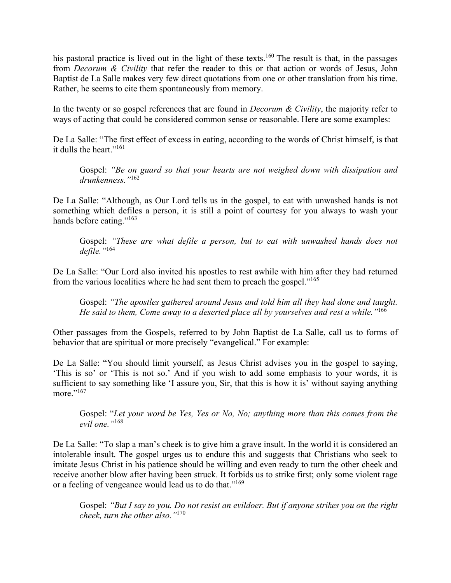his pastoral practice is lived out in the light of these texts.<sup>160</sup> The result is that, in the passages from *Decorum & Civility* that refer the reader to this or that action or words of Jesus, John Baptist de La Salle makes very few direct quotations from one or other translation from his time. Rather, he seems to cite them spontaneously from memory.

In the twenty or so gospel references that are found in *Decorum & Civility*, the majority refer to ways of acting that could be considered common sense or reasonable. Here are some examples:

De La Salle: "The first effect of excess in eating, according to the words of Christ himself, is that it dulls the heart."161

Gospel: *"Be on guard so that your hearts are not weighed down with dissipation and drunkenness."*<sup>162</sup>

De La Salle: "Although, as Our Lord tells us in the gospel, to eat with unwashed hands is not something which defiles a person, it is still a point of courtesy for you always to wash your hands before eating."<sup>163</sup>

Gospel: *"These are what defile a person, but to eat with unwashed hands does not defile."*<sup>164</sup>

De La Salle: "Our Lord also invited his apostles to rest awhile with him after they had returned from the various localities where he had sent them to preach the gospel."165

Gospel: *"The apostles gathered around Jesus and told him all they had done and taught. He said to them, Come away to a deserted place all by yourselves and rest a while."*<sup>166</sup>

Other passages from the Gospels, referred to by John Baptist de La Salle, call us to forms of behavior that are spiritual or more precisely "evangelical." For example:

De La Salle: "You should limit yourself, as Jesus Christ advises you in the gospel to saying, 'This is so' or 'This is not so.' And if you wish to add some emphasis to your words, it is sufficient to say something like 'I assure you, Sir, that this is how it is' without saying anything more."<sup>167</sup>

Gospel: "*Let your word be Yes, Yes or No, No; anything more than this comes from the evil one."*<sup>168</sup>

De La Salle: "To slap a man's cheek is to give him a grave insult. In the world it is considered an intolerable insult. The gospel urges us to endure this and suggests that Christians who seek to imitate Jesus Christ in his patience should be willing and even ready to turn the other cheek and receive another blow after having been struck. It forbids us to strike first; only some violent rage or a feeling of vengeance would lead us to do that."169

Gospel: *"But I say to you. Do not resist an evildoer. But if anyone strikes you on the right cheek, turn the other also."*<sup>170</sup>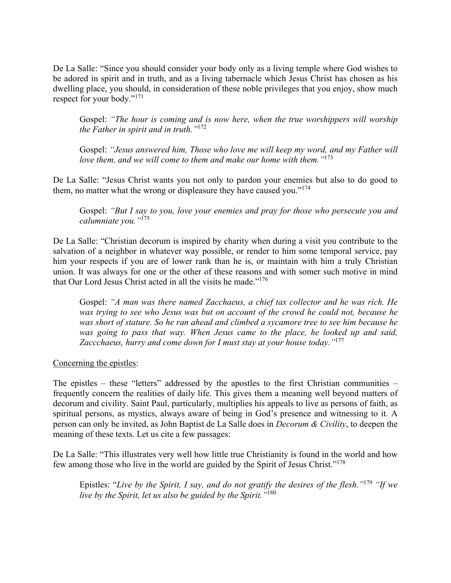De La Salle: "Since you should consider your body only as a living temple where God wishes to be adored in spirit and in truth, and as a living tabernacle which Jesus Christ has chosen as his dwelling place, you should, in consideration of these noble privileges that you enjoy, show much respect for your body."171

Gospel: *"The hour is coming and is now here, when the true worshippers will worship the Father in spirit and in truth."*<sup>172</sup>

Gospel: *"Jesus answered him, Those who love me will keep my word, and my Father will love them, and we will come to them and make our home with them."*<sup>173</sup>

De La Salle: "Jesus Christ wants you not only to pardon your enemies but also to do good to them, no matter what the wrong or displeasure they have caused you."<sup>174</sup>

Gospel: *"But I say to you, love your enemies and pray for those who persecute you and calumniate you."*<sup>175</sup>

De La Salle: "Christian decorum is inspired by charity when during a visit you contribute to the salvation of a neighbor in whatever way possible, or render to him some temporal service, pay him your respects if you are of lower rank than he is, or maintain with him a truly Christian union. It was always for one or the other of these reasons and with somer such motive in mind that Our Lord Jesus Christ acted in all the visits he made."<sup>176</sup>

Gospel: *"A man was there named Zacchaeus, a chief tax collector and he was rich. He was trying to see who Jesus was but on account of the crowd he could not, because he was short of stature. So he ran ahead and climbed a sycamore tree to see him because he was going to pass that way. When Jesus came to the place, he looked up and said, Zaccchaeus, hurry and come down for I must stay at your house today."*<sup>177</sup>

Concerning the epistles:

The epistles – these "letters" addressed by the apostles to the first Christian communities – frequently concern the realities of daily life. This gives them a meaning well beyond matters of decorum and civility. Saint Paul, particularly, multiplies his appeals to live as persons of faith, as spiritual persons, as mystics, always aware of being in God's presence and witnessing to it. A person can only be invited, as John Baptist de La Salle does in *Decorum & Civility*, to deepen the meaning of these texts. Let us cite a few passages:

De La Salle: "This illustrates very well how little true Christianity is found in the world and how few among those who live in the world are guided by the Spirit of Jesus Christ."178

Epistles: "*Live by the Spirit, I say, and do not gratify the desires of the flesh."*<sup>179</sup> *"If we live by the Spirit, let us also be guided by the Spirit."*<sup>180</sup>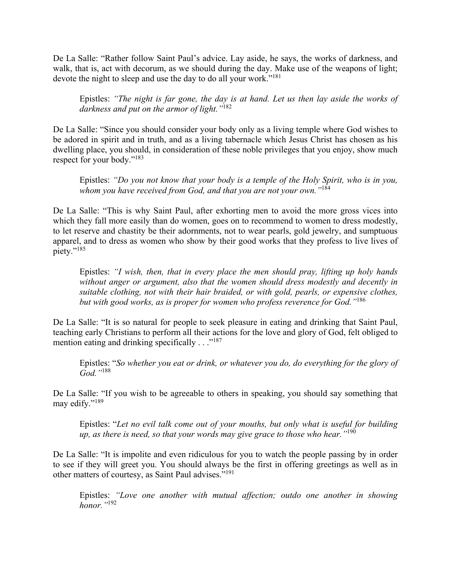De La Salle: "Rather follow Saint Paul's advice. Lay aside, he says, the works of darkness, and walk, that is, act with decorum, as we should during the day. Make use of the weapons of light; devote the night to sleep and use the day to do all your work."<sup>181</sup>

Epistles: *"The night is far gone, the day is at hand. Let us then lay aside the works of darkness and put on the armor of light."*<sup>182</sup>

De La Salle: "Since you should consider your body only as a living temple where God wishes to be adored in spirit and in truth, and as a living tabernacle which Jesus Christ has chosen as his dwelling place, you should, in consideration of these noble privileges that you enjoy, show much respect for your body."183

Epistles: *"Do you not know that your body is a temple of the Holy Spirit, who is in you, whom you have received from God, and that you are not your own."*<sup>184</sup>

De La Salle: "This is why Saint Paul, after exhorting men to avoid the more gross vices into which they fall more easily than do women, goes on to recommend to women to dress modestly, to let reserve and chastity be their adornments, not to wear pearls, gold jewelry, and sumptuous apparel, and to dress as women who show by their good works that they profess to live lives of piety."<sup>185</sup>

Epistles: *"I wish, then, that in every place the men should pray, lifting up holy hands without anger or argument, also that the women should dress modestly and decently in suitable clothing, not with their hair braided, or with gold, pearls, or expensive clothes, but with good works, as is proper for women who profess reverence for God."*<sup>186</sup>

De La Salle: "It is so natural for people to seek pleasure in eating and drinking that Saint Paul, teaching early Christians to perform all their actions for the love and glory of God, felt obliged to mention eating and drinking specifically  $\ldots$ <sup>"187</sup>

Epistles: "*So whether you eat or drink, or whatever you do, do everything for the glory of God."*<sup>188</sup>

De La Salle: "If you wish to be agreeable to others in speaking, you should say something that may edify."<sup>189</sup>

Epistles: "*Let no evil talk come out of your mouths, but only what is useful for building up, as there is need, so that your words may give grace to those who hear."*<sup>190</sup>

De La Salle: "It is impolite and even ridiculous for you to watch the people passing by in order to see if they will greet you. You should always be the first in offering greetings as well as in other matters of courtesy, as Saint Paul advises."191

Epistles: *"Love one another with mutual affection; outdo one another in showing honor."*<sup>192</sup>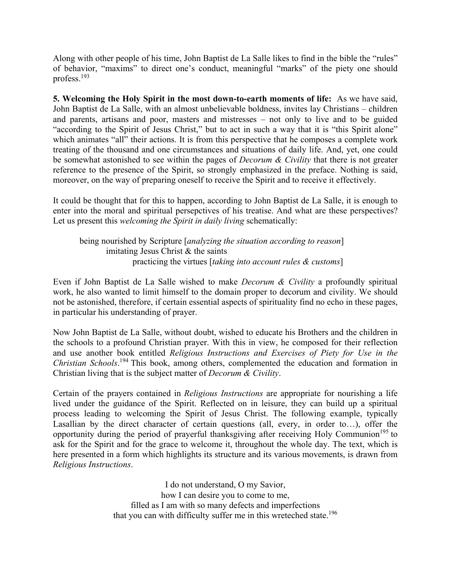Along with other people of his time, John Baptist de La Salle likes to find in the bible the "rules" of behavior, "maxims" to direct one's conduct, meaningful "marks" of the piety one should profess.193

**5. Welcoming the Holy Spirit in the most down-to-earth moments of life:** As we have said, John Baptist de La Salle, with an almost unbelievable boldness, invites lay Christians – children and parents, artisans and poor, masters and mistresses – not only to live and to be guided "according to the Spirit of Jesus Christ," but to act in such a way that it is "this Spirit alone" which animates "all" their actions. It is from this perspective that he composes a complete work treating of the thousand and one circumstances and situations of daily life. And, yet, one could be somewhat astonished to see within the pages of *Decorum & Civility* that there is not greater reference to the presence of the Spirit, so strongly emphasized in the preface. Nothing is said, moreover, on the way of preparing oneself to receive the Spirit and to receive it effectively.

It could be thought that for this to happen, according to John Baptist de La Salle, it is enough to enter into the moral and spiritual persepctives of his treatise. And what are these perspectives? Let us present this *welcoming the Spirit in daily living* schematically:

being nourished by Scripture [*analyzing the situation according to reason*] imitating Jesus Christ & the saints practicing the virtues [*taking into account rules & customs*]

Even if John Baptist de La Salle wished to make *Decorum & Civility* a profoundly spiritual work, he also wanted to limit himself to the domain proper to decorum and civility. We should not be astonished, therefore, if certain essential aspects of spirituality find no echo in these pages, in particular his understanding of prayer.

Now John Baptist de La Salle, without doubt, wished to educate his Brothers and the children in the schools to a profound Christian prayer. With this in view, he composed for their reflection and use another book entitled *Religious Instructions and Exercises of Piety for Use in the Christian Schools*. 194 This book, among others, complemented the education and formation in Christian living that is the subject matter of *Decorum & Civility*.

Certain of the prayers contained in *Religious Instructions* are appropriate for nourishing a life lived under the guidance of the Spirit. Reflected on in leisure, they can build up a spiritual process leading to welcoming the Spirit of Jesus Christ. The following example, typically Lasallian by the direct character of certain questions (all, every, in order to…), offer the opportunity during the period of prayerful thanksgiving after receiving Holy Communion<sup>195</sup> to ask for the Spirit and for the grace to welcome it, throughout the whole day. The text, which is here presented in a form which highlights its structure and its various movements, is drawn from *Religious Instructions*.

> I do not understand, O my Savior, how I can desire you to come to me, filled as I am with so many defects and imperfections that you can with difficulty suffer me in this wreteched state.<sup>196</sup>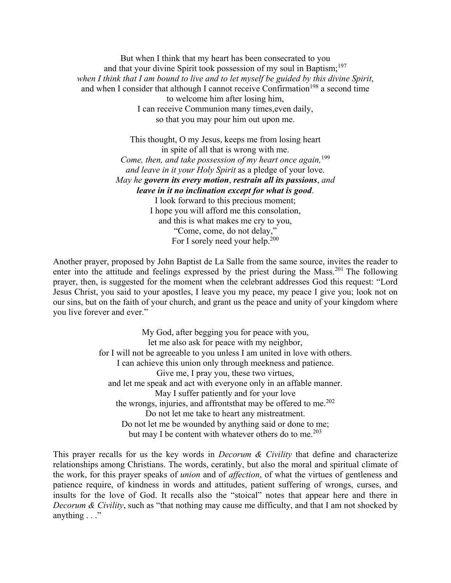But when I think that my heart has been consecrated to you and that your divine Spirit took possession of my soul in Baptism;<sup>197</sup> *when I think that I am bound to live and to let myself be guided by this divine Spirit*, and when I consider that although I cannot receive Confirmation<sup>198</sup> a second time to welcome him after losing him, I can receive Communion many times,even daily, so that you may pour him out upon me.

> This thought, O my Jesus, keeps me from losing heart in spite of all that is wrong with me. *Come, then, and take possession of my heart once again*, <sup>199</sup> *and leave in it your Holy Spirit* as a pledge of your love. *May he govern its every motion*, *restrain all its passions*, *and leave in it no inclination except for what is good*. I look forward to this precious moment; I hope you will afford me this consolation, and this is what makes me cry to you, "Come, come, do not delay," For I sorely need your help.<sup>200</sup>

Another prayer, proposed by John Baptist de La Salle from the same source, invites the reader to enter into the attitude and feelings expressed by the priest during the Mass.<sup>201</sup> The following prayer, then, is suggested for the moment when the celebrant addresses God this request: "Lord Jesus Christ, you said to your apostles, I leave you my peace, my peace I give you; look not on our sins, but on the faith of your church, and grant us the peace and unity of your kingdom where you live forever and ever."

> My God, after begging you for peace with you, let me also ask for peace with my neighbor, for I will not be agreeable to you unless I am united in love with others. I can achieve this union only through meekness and patience. Give me, I pray you, these two virtues, and let me speak and act with everyone only in an affable manner. May I suffer patiently and for your love the wrongs, injuries, and affronts that may be offered to me. $202$ Do not let me take to heart any mistreatment. Do not let me be wounded by anything said or done to me; but may I be content with whatever others do to me.<sup>203</sup>

This prayer recalls for us the key words in *Decorum & Civility* that define and characterize relationships among Christians. The words, ceratinly, but also the moral and spiritual climate of the work, for this prayer speaks of *union* and of *affection*, of what the virtues of gentleness and patience require, of kindness in words and attitudes, patient suffering of wrongs, curses, and insults for the love of God. It recalls also the "stoical" notes that appear here and there in *Decorum & Civility*, such as "that nothing may cause me difficulty, and that I am not shocked by anything . . ."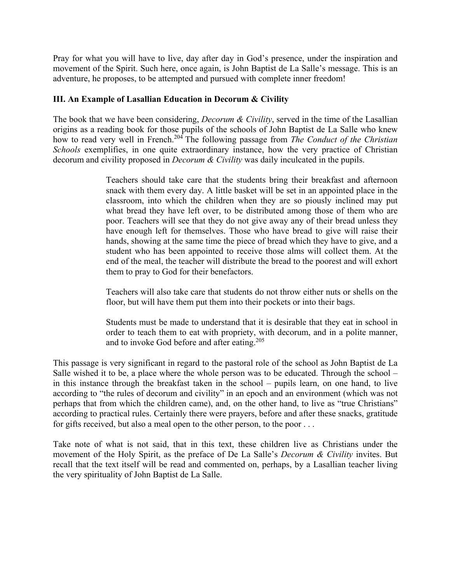Pray for what you will have to live, day after day in God's presence, under the inspiration and movement of the Spirit. Such here, once again, is John Baptist de La Salle's message. This is an adventure, he proposes, to be attempted and pursued with complete inner freedom!

# **III. An Example of Lasallian Education in Decorum & Civility**

The book that we have been considering, *Decorum & Civility*, served in the time of the Lasallian origins as a reading book for those pupils of the schools of John Baptist de La Salle who knew how to read very well in French.204 The following passage from *The Conduct of the Christian Schools* exemplifies, in one quite extraordinary instance, how the very practice of Christian decorum and civility proposed in *Decorum & Civility* was daily inculcated in the pupils.

> Teachers should take care that the students bring their breakfast and afternoon snack with them every day. A little basket will be set in an appointed place in the classroom, into which the children when they are so piously inclined may put what bread they have left over, to be distributed among those of them who are poor. Teachers will see that they do not give away any of their bread unless they have enough left for themselves. Those who have bread to give will raise their hands, showing at the same time the piece of bread which they have to give, and a student who has been appointed to receive those alms will collect them. At the end of the meal, the teacher will distribute the bread to the poorest and will exhort them to pray to God for their benefactors.

> Teachers will also take care that students do not throw either nuts or shells on the floor, but will have them put them into their pockets or into their bags.

> Students must be made to understand that it is desirable that they eat in school in order to teach them to eat with propriety, with decorum, and in a polite manner, and to invoke God before and after eating.<sup>205</sup>

This passage is very significant in regard to the pastoral role of the school as John Baptist de La Salle wished it to be, a place where the whole person was to be educated. Through the school – in this instance through the breakfast taken in the school – pupils learn, on one hand, to live according to "the rules of decorum and civility" in an epoch and an environment (which was not perhaps that from which the children came), and, on the other hand, to live as "true Christians" according to practical rules. Certainly there were prayers, before and after these snacks, gratitude for gifts received, but also a meal open to the other person, to the poor . . .

Take note of what is not said, that in this text, these children live as Christians under the movement of the Holy Spirit, as the preface of De La Salle's *Decorum & Civility* invites. But recall that the text itself will be read and commented on, perhaps, by a Lasallian teacher living the very spirituality of John Baptist de La Salle.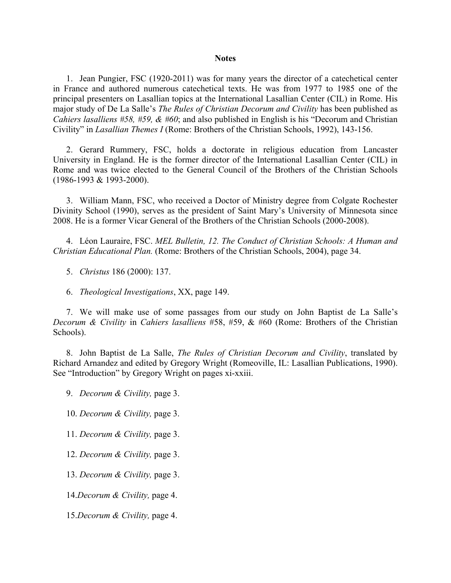#### **Notes**

1. Jean Pungier, FSC (1920-2011) was for many years the director of a catechetical center in France and authored numerous catechetical texts. He was from 1977 to 1985 one of the principal presenters on Lasallian topics at the International Lasallian Center (CIL) in Rome. His major study of De La Salle's *The Rules of Christian Decorum and Civility* has been published as *Cahiers lasalliens #58, #59, & #60*; and also published in English is his "Decorum and Christian Civility" in *Lasallian Themes I* (Rome: Brothers of the Christian Schools, 1992), 143-156.

2. Gerard Rummery, FSC, holds a doctorate in religious education from Lancaster University in England. He is the former director of the International Lasallian Center (CIL) in Rome and was twice elected to the General Council of the Brothers of the Christian Schools (1986-1993 & 1993-2000).

3. William Mann, FSC, who received a Doctor of Ministry degree from Colgate Rochester Divinity School (1990), serves as the president of Saint Mary's University of Minnesota since 2008. He is a former Vicar General of the Brothers of the Christian Schools (2000-2008).

4. Léon Lauraire, FSC. *MEL Bulletin, 12. The Conduct of Christian Schools: A Human and Christian Educational Plan.* (Rome: Brothers of the Christian Schools, 2004), page 34.

- 5. *Christus* 186 (2000): 137.
- 6. *Theological Investigations*, XX, page 149.

7. We will make use of some passages from our study on John Baptist de La Salle's *Decorum & Civility* in *Cahiers lasalliens* #58, #59, & #60 (Rome: Brothers of the Christian Schools).

8. John Baptist de La Salle, *The Rules of Christian Decorum and Civility*, translated by Richard Arnandez and edited by Gregory Wright (Romeoville, IL: Lasallian Publications, 1990). See "Introduction" by Gregory Wright on pages xi-xxiii.

9. *Decorum & Civility,* page 3.

10. *Decorum & Civility,* page 3.

11. *Decorum & Civility,* page 3.

12. *Decorum & Civility,* page 3.

13. *Decorum & Civility,* page 3.

14.*Decorum & Civility,* page 4.

15.*Decorum & Civility,* page 4.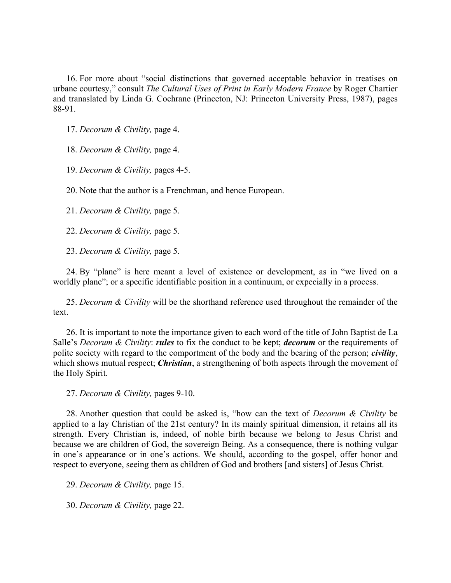16. For more about "social distinctions that governed acceptable behavior in treatises on urbane courtesy," consult *The Cultural Uses of Print in Early Modern France* by Roger Chartier and tranaslated by Linda G. Cochrane (Princeton, NJ: Princeton University Press, 1987), pages 88-91.

17. *Decorum & Civility,* page 4.

18. *Decorum & Civility,* page 4.

19. *Decorum & Civility,* pages 4-5.

20. Note that the author is a Frenchman, and hence European.

21. *Decorum & Civility,* page 5.

22. *Decorum & Civility,* page 5.

23. *Decorum & Civility,* page 5.

24. By "plane" is here meant a level of existence or development, as in "we lived on a worldly plane"; or a specific identifiable position in a continuum, or expecially in a process.

25. *Decorum & Civility* will be the shorthand reference used throughout the remainder of the text.

26. It is important to note the importance given to each word of the title of John Baptist de La Salle's *Decorum & Civility*: *rules* to fix the conduct to be kept; *decorum* or the requirements of polite society with regard to the comportment of the body and the bearing of the person; *civility*, which shows mutual respect; *Christian*, a strengthening of both aspects through the movement of the Holy Spirit.

27. *Decorum & Civility,* pages 9-10.

28. Another question that could be asked is, "how can the text of *Decorum & Civility* be applied to a lay Christian of the 21st century? In its mainly spiritual dimension, it retains all its strength. Every Christian is, indeed, of noble birth because we belong to Jesus Christ and because we are children of God, the sovereign Being. As a consequence, there is nothing vulgar in one's appearance or in one's actions. We should, according to the gospel, offer honor and respect to everyone, seeing them as children of God and brothers [and sisters] of Jesus Christ.

29. *Decorum & Civility,* page 15.

30. *Decorum & Civility,* page 22.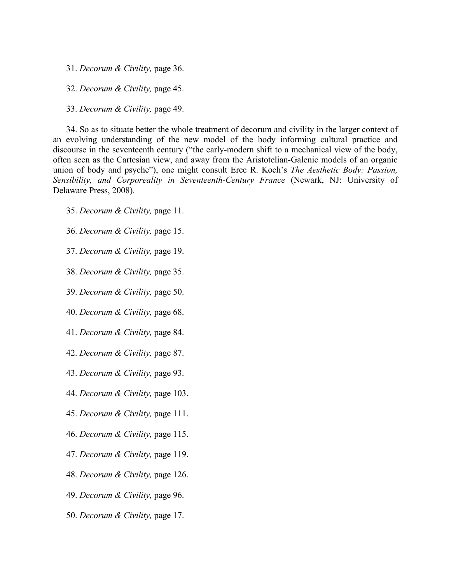31. *Decorum & Civility,* page 36.

32. *Decorum & Civility,* page 45.

33. *Decorum & Civility,* page 49.

34. So as to situate better the whole treatment of decorum and civility in the larger context of an evolving understanding of the new model of the body informing cultural practice and discourse in the seventeenth century ("the early-modern shift to a mechanical view of the body, often seen as the Cartesian view, and away from the Aristotelian-Galenic models of an organic union of body and psyche"), one might consult Erec R. Koch's *The Aesthetic Body: Passion, Sensibility, and Corporeality in Seventeenth-Century France* (Newark, NJ: University of Delaware Press, 2008).

- 35. *Decorum & Civility,* page 11.
- 36. *Decorum & Civility,* page 15.
- 37. *Decorum & Civility,* page 19.
- 38. *Decorum & Civility,* page 35.
- 39. *Decorum & Civility,* page 50.
- 40. *Decorum & Civility,* page 68.
- 41. *Decorum & Civility,* page 84.
- 42. *Decorum & Civility,* page 87.
- 43. *Decorum & Civility,* page 93.
- 44. *Decorum & Civility,* page 103.
- 45. *Decorum & Civility,* page 111.
- 46. *Decorum & Civility,* page 115.
- 47. *Decorum & Civility,* page 119.
- 48. *Decorum & Civility,* page 126.
- 49. *Decorum & Civility,* page 96.
- 50. *Decorum & Civility,* page 17.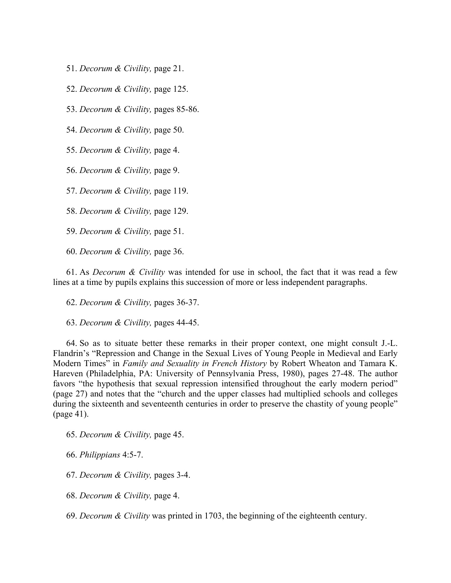- 51. *Decorum & Civility,* page 21.
- 52. *Decorum & Civility,* page 125.
- 53. *Decorum & Civility,* pages 85-86.
- 54. *Decorum & Civility,* page 50.
- 55. *Decorum & Civility,* page 4.
- 56. *Decorum & Civility,* page 9.
- 57. *Decorum & Civility,* page 119.
- 58. *Decorum & Civility,* page 129.
- 59. *Decorum & Civility,* page 51.
- 60. *Decorum & Civility,* page 36.

61. As *Decorum & Civility* was intended for use in school, the fact that it was read a few lines at a time by pupils explains this succession of more or less independent paragraphs.

- 62. *Decorum & Civility,* pages 36-37.
- 63. *Decorum & Civility,* pages 44-45.

64. So as to situate better these remarks in their proper context, one might consult J.-L. Flandrin's "Repression and Change in the Sexual Lives of Young People in Medieval and Early Modern Times" in *Family and Sexuality in French History* by Robert Wheaton and Tamara K. Hareven (Philadelphia, PA: University of Pennsylvania Press, 1980), pages 27-48. The author favors "the hypothesis that sexual repression intensified throughout the early modern period" (page 27) and notes that the "church and the upper classes had multiplied schools and colleges during the sixteenth and seventeenth centuries in order to preserve the chastity of young people" (page 41).

- 65. *Decorum & Civility,* page 45.
- 66. *Philippians* 4:5-7.
- 67. *Decorum & Civility,* pages 3-4.
- 68. *Decorum & Civility,* page 4.
- 69. *Decorum & Civility* was printed in 1703, the beginning of the eighteenth century.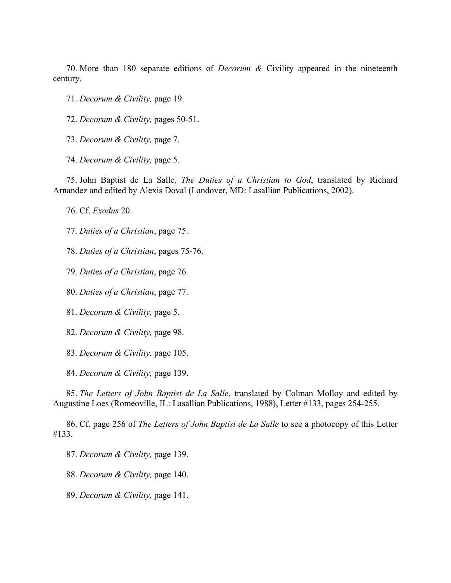70. More than 180 separate editions of *Decorum &* Civility appeared in the nineteenth century.

71. *Decorum & Civility,* page 19.

72. *Decorum & Civility,* pages 50-51.

73. *Decorum & Civility,* page 7.

74. *Decorum & Civility,* page 5.

75. John Baptist de La Salle, *The Duties of a Christian to God*, translated by Richard Arnandez and edited by Alexis Doval (Landover, MD: Lasallian Publications, 2002).

76. Cf. *Exodus* 20.

77. *Duties of a Christian*, page 75.

78. *Duties of a Christian*, pages 75-76.

79. *Duties of a Christian*, page 76.

80. *Duties of a Christian*, page 77.

81. *Decorum & Civility,* page 5.

82. *Decorum & Civility,* page 98.

83. *Decorum & Civility,* page 105.

84. *Decorum & Civility,* page 139.

85. *The Letters of John Baptist de La Salle*, translated by Colman Molloy and edited by Augustine Loes (Romeoville, IL: Lasallian Publications, 1988), Letter #133, pages 254-255.

86. Cf. page 256 of *The Letters of John Baptist de La Salle* to see a photocopy of this Letter #133.

87. *Decorum & Civility,* page 139.

88. *Decorum & Civility,* page 140.

89. *Decorum & Civility,* page 141.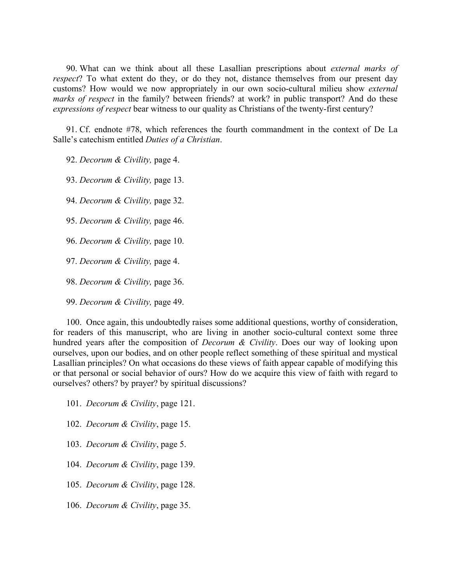90. What can we think about all these Lasallian prescriptions about *external marks of respect*? To what extent do they, or do they not, distance themselves from our present day customs? How would we now appropriately in our own socio-cultural milieu show *external marks of respect* in the family? between friends? at work? in public transport? And do these *expressions of respect* bear witness to our quality as Christians of the twenty-first century?

91. Cf. endnote #78, which references the fourth commandment in the context of De La Salle's catechism entitled *Duties of a Christian*.

92. *Decorum & Civility,* page 4.

93. *Decorum & Civility,* page 13.

94. *Decorum & Civility,* page 32.

95. *Decorum & Civility,* page 46.

- 96. *Decorum & Civility,* page 10.
- 97. *Decorum & Civility,* page 4.

98. *Decorum & Civility,* page 36.

99. *Decorum & Civility,* page 49.

100. Once again, this undoubtedly raises some additional questions, worthy of consideration, for readers of this manuscript, who are living in another socio-cultural context some three hundred years after the composition of *Decorum & Civility*. Does our way of looking upon ourselves, upon our bodies, and on other people reflect something of these spiritual and mystical Lasallian principles? On what occasions do these views of faith appear capable of modifying this or that personal or social behavior of ours? How do we acquire this view of faith with regard to ourselves? others? by prayer? by spiritual discussions?

- 101. *Decorum & Civility*, page 121.
- 102. *Decorum & Civility*, page 15.
- 103. *Decorum & Civility*, page 5.
- 104. *Decorum & Civility*, page 139.
- 105. *Decorum & Civility*, page 128.
- 106. *Decorum & Civility*, page 35.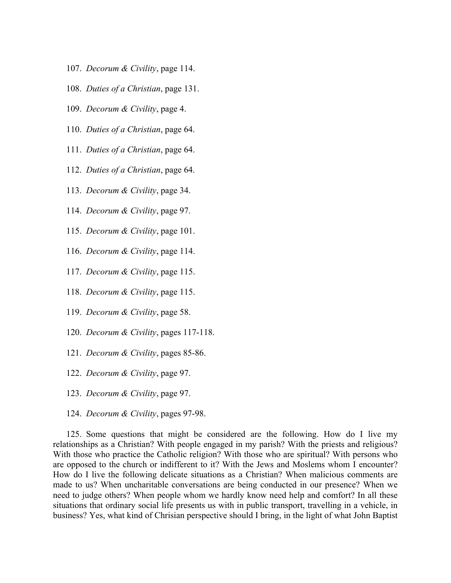- 107. *Decorum & Civility*, page 114.
- 108. *Duties of a Christian*, page 131.
- 109. *Decorum & Civility*, page 4.
- 110. *Duties of a Christian*, page 64.
- 111. *Duties of a Christian*, page 64.
- 112. *Duties of a Christian*, page 64.
- 113. *Decorum & Civility*, page 34.
- 114. *Decorum & Civility*, page 97.
- 115. *Decorum & Civility*, page 101.
- 116. *Decorum & Civility*, page 114.
- 117. *Decorum & Civility*, page 115.
- 118. *Decorum & Civility*, page 115.
- 119. *Decorum & Civility*, page 58.
- 120. *Decorum & Civility*, pages 117-118.
- 121. *Decorum & Civility*, pages 85-86.
- 122. *Decorum & Civility*, page 97.
- 123. *Decorum & Civility*, page 97.
- 124. *Decorum & Civility*, pages 97-98.

125. Some questions that might be considered are the following. How do I live my relationships as a Christian? With people engaged in my parish? With the priests and religious? With those who practice the Catholic religion? With those who are spiritual? With persons who are opposed to the church or indifferent to it? With the Jews and Moslems whom I encounter? How do I live the following delicate situations as a Christian? When malicious comments are made to us? When uncharitable conversations are being conducted in our presence? When we need to judge others? When people whom we hardly know need help and comfort? In all these situations that ordinary social life presents us with in public transport, travelling in a vehicle, in business? Yes, what kind of Chrisian perspective should I bring, in the light of what John Baptist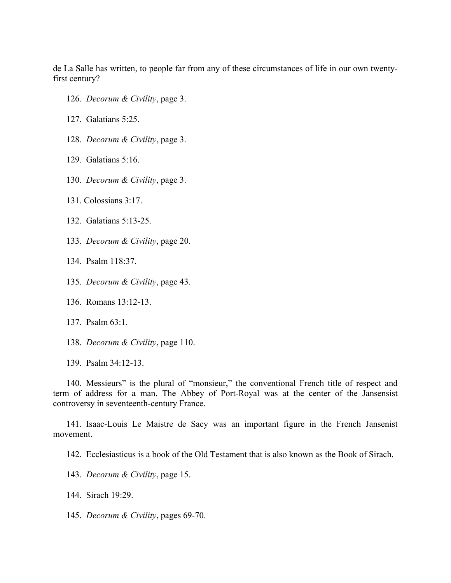de La Salle has written, to people far from any of these circumstances of life in our own twentyfirst century?

- 126. *Decorum & Civility*, page 3.
- 127. Galatians 5:25.
- 128. *Decorum & Civility*, page 3.
- 129. Galatians 5:16.
- 130. *Decorum & Civility*, page 3.
- 131. Colossians 3:17.
- 132. Galatians 5:13-25.
- 133. *Decorum & Civility*, page 20.
- 134. Psalm 118:37.
- 135. *Decorum & Civility*, page 43.
- 136. Romans 13:12-13.
- 137. Psalm 63:1.
- 138. *Decorum & Civility*, page 110.
- 139. Psalm 34:12-13.

140. Messieurs" is the plural of "monsieur," the conventional French title of respect and term of address for a man. The Abbey of Port-Royal was at the center of the Jansensist controversy in seventeenth-century France.

141. Isaac-Louis Le Maistre de Sacy was an important figure in the French Jansenist movement.

142. Ecclesiasticus is a book of the Old Testament that is also known as the Book of Sirach.

- 143. *Decorum & Civility*, page 15.
- 144. Sirach 19:29.
- 145. *Decorum & Civility*, pages 69-70.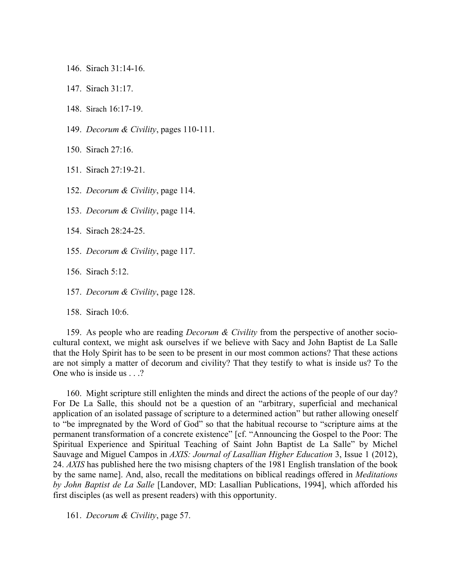146. Sirach 31:14-16.

147. Sirach 31:17.

148. Sirach 16:17-19.

149. *Decorum & Civility*, pages 110-111.

150. Sirach 27:16.

151. Sirach 27:19-21.

152. *Decorum & Civility*, page 114.

153. *Decorum & Civility*, page 114.

154. Sirach 28:24-25.

155. *Decorum & Civility*, page 117.

156. Sirach 5:12.

157. *Decorum & Civility*, page 128.

158. Sirach 10:6.

159. As people who are reading *Decorum & Civility* from the perspective of another sociocultural context, we might ask ourselves if we believe with Sacy and John Baptist de La Salle that the Holy Spirit has to be seen to be present in our most common actions? That these actions are not simply a matter of decorum and civility? That they testify to what is inside us? To the One who is inside us . . .?

160. Might scripture still enlighten the minds and direct the actions of the people of our day? For De La Salle, this should not be a question of an "arbitrary, superficial and mechanical application of an isolated passage of scripture to a determined action" but rather allowing oneself to "be impregnated by the Word of God" so that the habitual recourse to "scripture aims at the permanent transformation of a concrete existence" [cf. "Announcing the Gospel to the Poor: The Spiritual Experience and Spiritual Teaching of Saint John Baptist de La Salle" by Michel Sauvage and Miguel Campos in *AXIS: Journal of Lasallian Higher Education* 3, Issue 1 (2012), 24. *AXIS* has published here the two misisng chapters of the 1981 English translation of the book by the same name]. And, also, recall the meditations on biblical readings offered in *Meditations by John Baptist de La Salle* [Landover, MD: Lasallian Publications, 1994], which afforded his first disciples (as well as present readers) with this opportunity.

161. *Decorum & Civility*, page 57.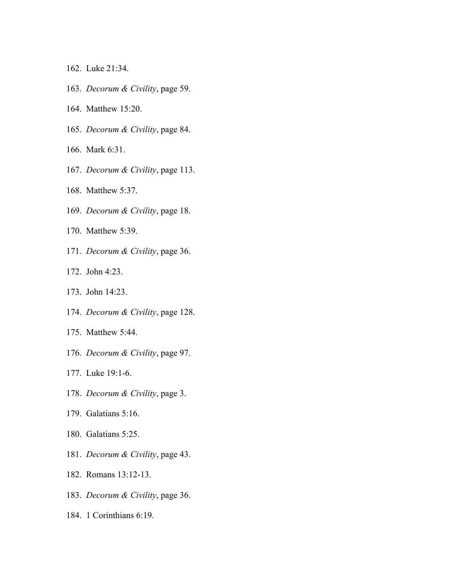- 162. Luke 21:34.
- 163. *Decorum & Civility*, page 59.
- 164. Matthew 15:20.
- 165. *Decorum & Civility*, page 84.
- 166. Mark 6:31.
- 167. *Decorum & Civility*, page 113.
- 168. Matthew 5:37.
- 169. *Decorum & Civility*, page 18.
- 170. Matthew 5:39.
- 171. *Decorum & Civility*, page 36.
- 172. John 4:23.
- 173. John 14:23.
- 174. *Decorum & Civility*, page 128.
- 175. Matthew 5:44.
- 176. *Decorum & Civility*, page 97.
- 177. Luke 19:1-6.
- 178. *Decorum & Civility*, page 3.
- 179. Galatians 5:16.
- 180. Galatians 5:25.
- 181. *Decorum & Civility*, page 43.
- 182. Romans 13:12-13.
- 183. *Decorum & Civility*, page 36.
- 184. 1 Corinthians 6:19.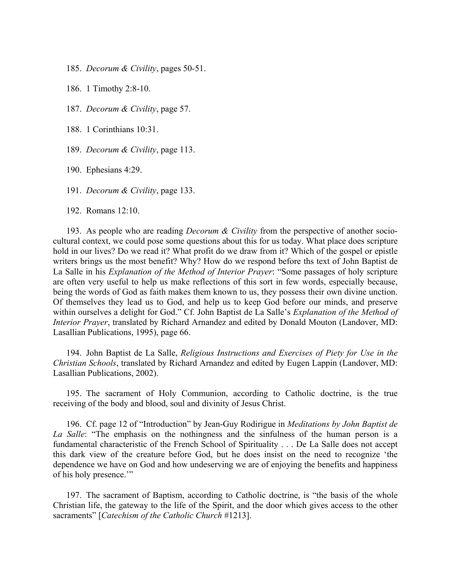185. *Decorum & Civility*, pages 50-51.

186. 1 Timothy 2:8-10.

187. *Decorum & Civility*, page 57.

188. 1 Corinthians 10:31.

189. *Decorum & Civility*, page 113.

190. Ephesians 4:29.

191. *Decorum & Civility*, page 133.

192. Romans 12:10.

193. As people who are reading *Decorum & Civility* from the perspective of another sociocultural context, we could pose some questions about this for us today. What place does scripture hold in our lives? Do we read it? What profit do we draw from it? Which of the gospel or epistle writers brings us the most benefit? Why? How do we respond before ths text of John Baptist de La Salle in his *Explanation of the Method of Interior Prayer*: "Some passages of holy scripture are often very useful to help us make reflections of this sort in few words, especially because, being the words of God as faith makes them known to us, they possess their own divine unction. Of themselves they lead us to God, and help us to keep God before our minds, and preserve within ourselves a delight for God." Cf. John Baptist de La Salle's *Explanation of the Method of Interior Prayer*, translated by Richard Arnandez and edited by Donald Mouton (Landover, MD: Lasallian Publications, 1995), page 66.

194. John Baptist de La Salle, *Religious Instructions and Exercises of Piety for Use in the Christian Schools*, translated by Richard Arnandez and edited by Eugen Lappin (Landover, MD: Lasallian Publications, 2002).

195. The sacrament of Holy Communion, according to Catholic doctrine, is the true receiving of the body and blood, soul and divinity of Jesus Christ.

196. Cf. page 12 of "Introduction" by Jean-Guy Rodirigue in *Meditations by John Baptist de La Salle*: "The emphasis on the nothingness and the sinfulness of the human person is a fundamental characteristic of the French School of Spirituality . . . De La Salle does not accept this dark view of the creature before God, but he does insist on the need to recognize 'the dependence we have on God and how undeserving we are of enjoying the benefits and happiness of his holy presence.'"

197. The sacrament of Baptism, according to Catholic doctrine, is "the basis of the whole Christian life, the gateway to the life of the Spirit, and the door which gives access to the other sacraments" [*Catechism of the Catholic Church* #1213].